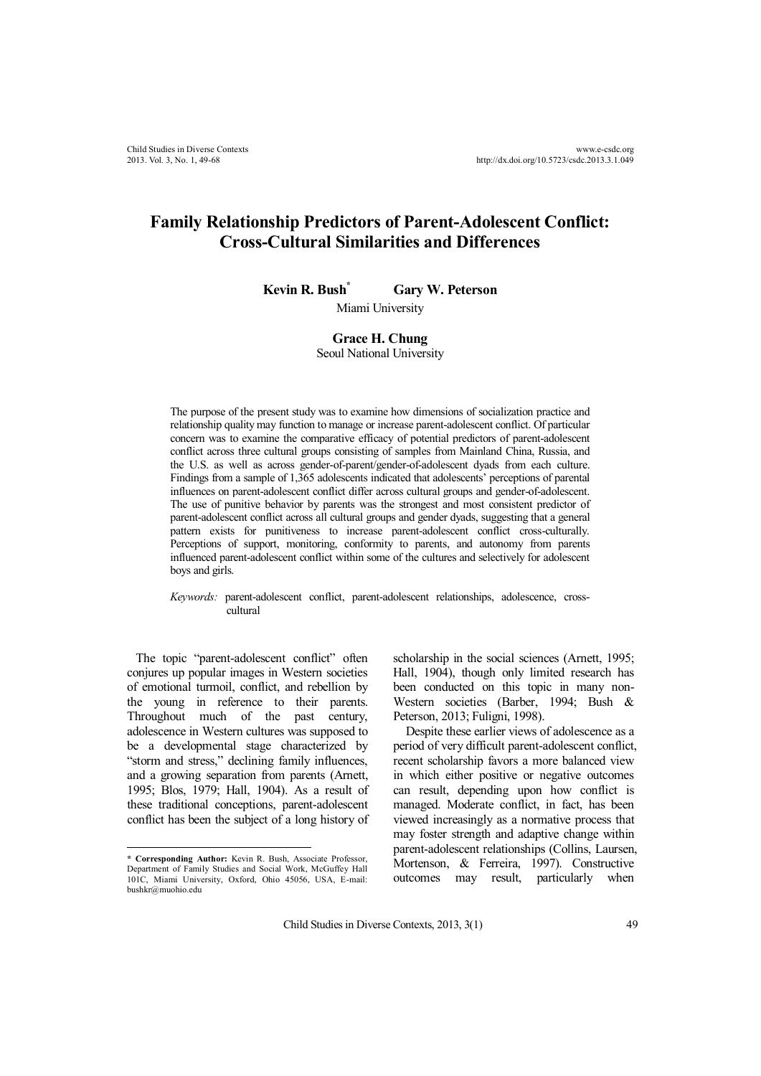# **Family Relationship Predictors of Parent-Adolescent Conflict: Cross-Cultural Similarities and Differences**

**Kevin R. Bush \* Gary W. Peterson**

Miami University

#### **Grace H. Chung** Seoul National University

The purpose of the present study was to examine how dimensions of socialization practice and relationship quality may function to manage or increase parent-adolescent conflict. Of particular concern was to examine the comparative efficacy of potential predictors of parent-adolescent conflict across three cultural groups consisting of samples from Mainland China, Russia, and the U.S. as well as across gender-of-parent/gender-of-adolescent dyads from each culture. Findings from a sample of 1,365 adolescents indicated that adolescents' perceptions of parental influences on parent-adolescent conflict differ across cultural groups and gender-of-adolescent. The use of punitive behavior by parents was the strongest and most consistent predictor of parent-adolescent conflict across all cultural groups and gender dyads, suggesting that a general pattern exists for punitiveness to increase parent-adolescent conflict cross-culturally. Perceptions of support, monitoring, conformity to parents, and autonomy from parents influenced parent-adolescent conflict within some of the cultures and selectively for adolescent boys and girls.

#### *Keywords:* parent-adolescent conflict, parent-adolescent relationships, adolescence, crosscultural

The topic "parent-adolescent conflict" often conjures up popular images in Western societies of emotional turmoil, conflict, and rebellion by the young in reference to their parents. Throughout much of the past century, adolescence in Western cultures was supposed to be a developmental stage characterized by "storm and stress," declining family influences, and a growing separation from parents (Arnett, 1995; Blos, 1979; Hall, 1904). As a result of these traditional conceptions, parent-adolescent conflict has been the subject of a long history of scholarship in the social sciences (Arnett, 1995; Hall, 1904), though only limited research has been conducted on this topic in many non-Western societies (Barber, 1994; Bush & Peterson, 2013; Fuligni, 1998).

Despite these earlier views of adolescence as a period of very difficult parent-adolescent conflict, recent scholarship favors a more balanced view in which either positive or negative outcomes can result, depending upon how conflict is managed. Moderate conflict, in fact, has been viewed increasingly as a normative process that may foster strength and adaptive change within parent-adolescent relationships (Collins, Laursen, Mortenson, & Ferreira, 1997). Constructive outcomes may result, particularly when

**<sup>\*</sup> Corresponding Author:** Kevin R. Bush, Associate Professor, Department of Family Studies and Social Work, McGuffey Hall 101C, Miami University, Oxford, Ohio 45056, USA, E-mail: bushkr@muohio.edu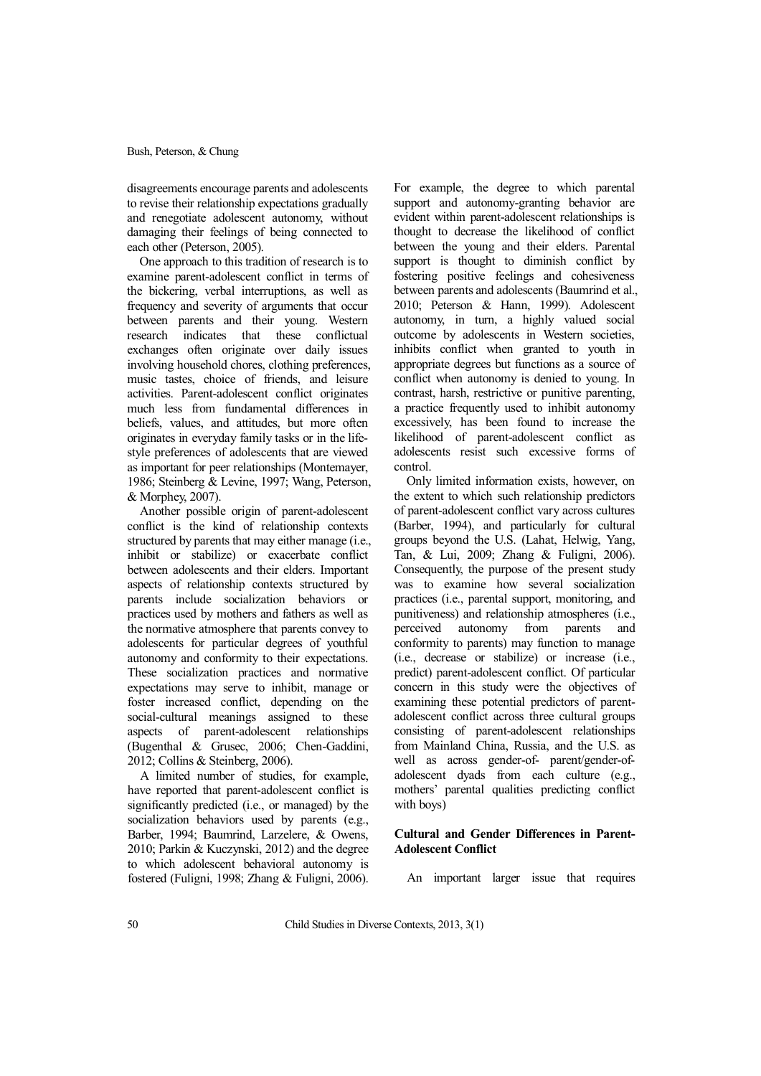disagreements encourage parents and adolescents to revise their relationship expectations gradually and renegotiate adolescent autonomy, without damaging their feelings of being connected to each other (Peterson, 2005).

One approach to this tradition of research is to examine parent-adolescent conflict in terms of the bickering, verbal interruptions, as well as frequency and severity of arguments that occur between parents and their young. Western research indicates that these conflictual exchanges often originate over daily issues involving household chores, clothing preferences, music tastes, choice of friends, and leisure activities. Parent-adolescent conflict originates much less from fundamental differences in beliefs, values, and attitudes, but more often originates in everyday family tasks or in the lifestyle preferences of adolescents that are viewed as important for peer relationships (Montemayer, 1986; Steinberg & Levine, 1997; Wang, Peterson, & Morphey, 2007).

Another possible origin of parent-adolescent conflict is the kind of relationship contexts structured by parents that may either manage (i.e., inhibit or stabilize) or exacerbate conflict between adolescents and their elders. Important aspects of relationship contexts structured by parents include socialization behaviors or practices used by mothers and fathers as well as the normative atmosphere that parents convey to adolescents for particular degrees of youthful autonomy and conformity to their expectations. These socialization practices and normative expectations may serve to inhibit, manage or foster increased conflict, depending on the social-cultural meanings assigned to these aspects of parent-adolescent relationships (Bugenthal & Grusec, 2006; Chen-Gaddini, 2012; Collins & Steinberg, 2006).

A limited number of studies, for example, have reported that parent-adolescent conflict is significantly predicted (i.e., or managed) by the socialization behaviors used by parents (e.g., Barber, 1994; Baumrind, Larzelere, & Owens, 2010; Parkin & Kuczynski, 2012) and the degree to which adolescent behavioral autonomy is fostered (Fuligni, 1998; Zhang & Fuligni, 2006).

For example, the degree to which parental support and autonomy-granting behavior are evident within parent-adolescent relationships is thought to decrease the likelihood of conflict between the young and their elders. Parental support is thought to diminish conflict by fostering positive feelings and cohesiveness between parents and adolescents (Baumrind et al., 2010; Peterson & Hann, 1999). Adolescent autonomy, in turn, a highly valued social outcome by adolescents in Western societies, inhibits conflict when granted to youth in appropriate degrees but functions as a source of conflict when autonomy is denied to young. In contrast, harsh, restrictive or punitive parenting, a practice frequently used to inhibit autonomy excessively, has been found to increase the likelihood of parent-adolescent conflict as adolescents resist such excessive forms of control.

Only limited information exists, however, on the extent to which such relationship predictors of parent-adolescent conflict vary across cultures (Barber, 1994), and particularly for cultural groups beyond the U.S. (Lahat, Helwig, Yang, Tan, & Lui, 2009; Zhang & Fuligni, 2006). Consequently, the purpose of the present study was to examine how several socialization practices (i.e., parental support, monitoring, and punitiveness) and relationship atmospheres (i.e., perceived autonomy from parents and conformity to parents) may function to manage (i.e., decrease or stabilize) or increase (i.e., predict) parent-adolescent conflict. Of particular concern in this study were the objectives of examining these potential predictors of parentadolescent conflict across three cultural groups consisting of parent-adolescent relationships from Mainland China, Russia, and the U.S. as well as across gender-of- parent/gender-ofadolescent dyads from each culture (e.g., mothers' parental qualities predicting conflict with boys)

# **Cultural and Gender Differences in Parent-Adolescent Conflict**

An important larger issue that requires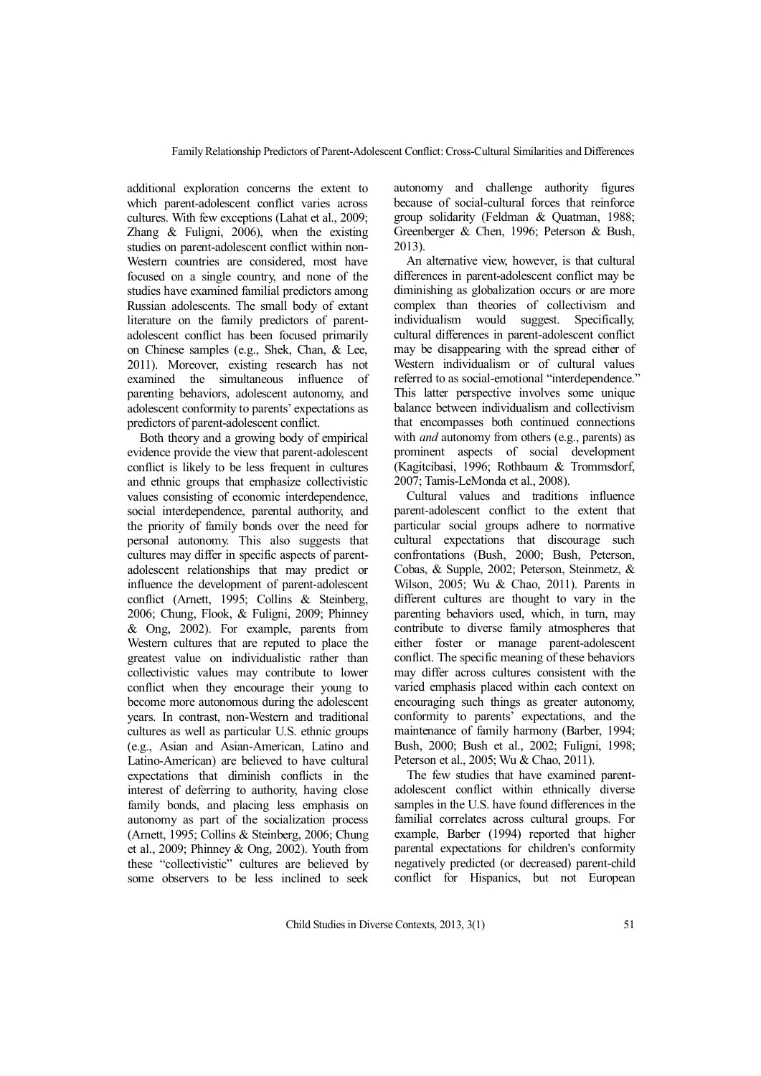additional exploration concerns the extent to which parent-adolescent conflict varies across cultures. With few exceptions (Lahat et al., 2009; Zhang & Fuligni, 2006), when the existing studies on parent-adolescent conflict within non-Western countries are considered, most have focused on a single country, and none of the studies have examined familial predictors among Russian adolescents. The small body of extant literature on the family predictors of parentadolescent conflict has been focused primarily on Chinese samples (e.g., Shek, Chan, & Lee, 2011). Moreover, existing research has not examined the simultaneous influence of parenting behaviors, adolescent autonomy, and adolescent conformity to parents' expectations as predictors of parent-adolescent conflict.

Both theory and a growing body of empirical evidence provide the view that parent-adolescent conflict is likely to be less frequent in cultures and ethnic groups that emphasize collectivistic values consisting of economic interdependence, social interdependence, parental authority, and the priority of family bonds over the need for personal autonomy. This also suggests that cultures may differ in specific aspects of parentadolescent relationships that may predict or influence the development of parent-adolescent conflict (Arnett, 1995; Collins & Steinberg, 2006; Chung, Flook, & Fuligni, 2009; Phinney & Ong, 2002). For example, parents from Western cultures that are reputed to place the greatest value on individualistic rather than collectivistic values may contribute to lower conflict when they encourage their young to become more autonomous during the adolescent years. In contrast, non-Western and traditional cultures as well as particular U.S. ethnic groups (e.g., Asian and Asian-American, Latino and Latino-American) are believed to have cultural expectations that diminish conflicts in the interest of deferring to authority, having close family bonds, and placing less emphasis on autonomy as part of the socialization process (Arnett, 1995; Collins & Steinberg, 2006; Chung et al., 2009; Phinney & Ong, 2002). Youth from these "collectivistic" cultures are believed by some observers to be less inclined to seek autonomy and challenge authority figures because of social-cultural forces that reinforce group solidarity (Feldman & Quatman, 1988; Greenberger & Chen, 1996; Peterson & Bush, 2013).

An alternative view, however, is that cultural differences in parent-adolescent conflict may be diminishing as globalization occurs or are more complex than theories of collectivism and individualism would suggest. Specifically, cultural differences in parent-adolescent conflict may be disappearing with the spread either of Western individualism or of cultural values referred to as social-emotional "interdependence." This latter perspective involves some unique balance between individualism and collectivism that encompasses both continued connections with *and* autonomy from others (e.g., parents) as prominent aspects of social development (Kagitcibasi, 1996; Rothbaum & Trommsdorf, 2007; Tamis-LeMonda et al., 2008).

Cultural values and traditions influence parent-adolescent conflict to the extent that particular social groups adhere to normative cultural expectations that discourage such confrontations (Bush, 2000; Bush, Peterson, Cobas, & Supple, 2002; Peterson, Steinmetz, & Wilson, 2005; Wu & Chao, 2011). Parents in different cultures are thought to vary in the parenting behaviors used, which, in turn, may contribute to diverse family atmospheres that either foster or manage parent-adolescent conflict. The specific meaning of these behaviors may differ across cultures consistent with the varied emphasis placed within each context on encouraging such things as greater autonomy, conformity to parents' expectations, and the maintenance of family harmony (Barber, 1994; Bush, 2000; Bush et al., 2002; Fuligni, 1998; Peterson et al., 2005; Wu & Chao, 2011).

The few studies that have examined parentadolescent conflict within ethnically diverse samples in the U.S. have found differences in the familial correlates across cultural groups. For example, Barber (1994) reported that higher parental expectations for children's conformity negatively predicted (or decreased) parent-child conflict for Hispanics, but not European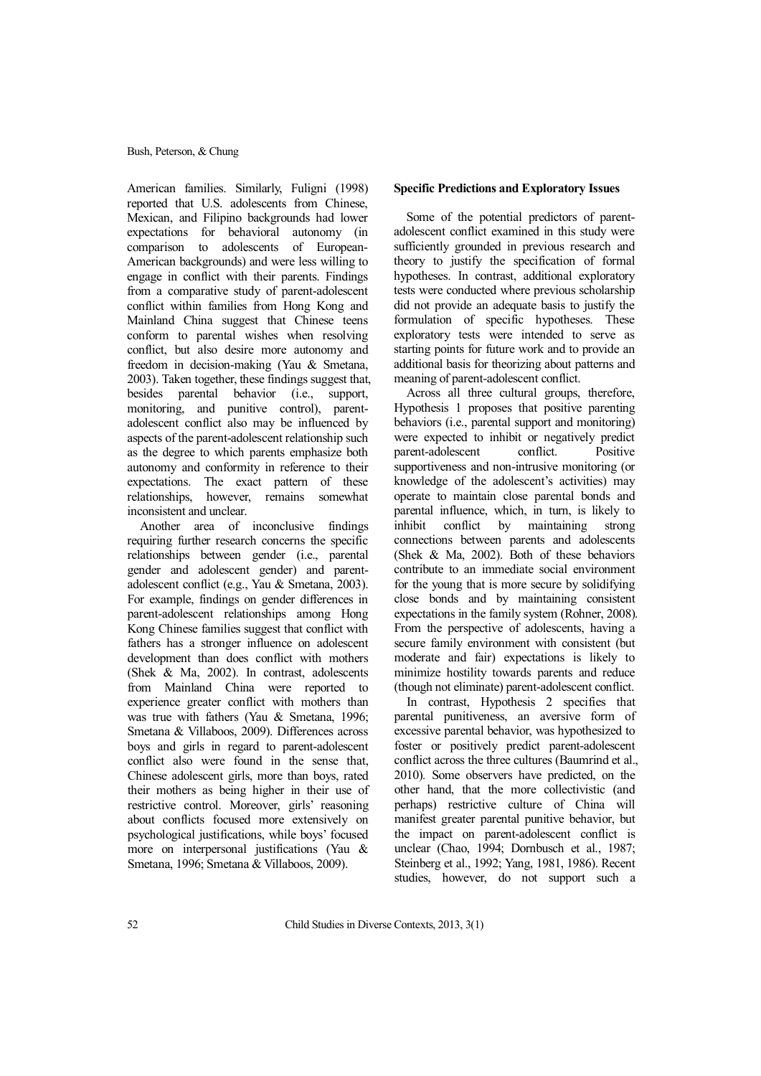American families. Similarly, Fuligni (1998) reported that U.S. adolescents from Chinese, Mexican, and Filipino backgrounds had lower expectations for behavioral autonomy (in comparison to adolescents of European-American backgrounds) and were less willing to engage in conflict with their parents. Findings from a comparative study of parent-adolescent conflict within families from Hong Kong and Mainland China suggest that Chinese teens conform to parental wishes when resolving conflict, but also desire more autonomy and freedom in decision-making (Yau & Smetana, 2003). Taken together, these findings suggest that, besides parental behavior (i.e., support, monitoring, and punitive control), parentadolescent conflict also may be influenced by aspects of the parent-adolescent relationship such as the degree to which parents emphasize both autonomy and conformity in reference to their expectations. The exact pattern of these relationships, however, remains somewhat inconsistent and unclear.

Another area of inconclusive findings requiring further research concerns the specific relationships between gender (i.e., parental gender and adolescent gender) and parentadolescent conflict (e.g., Yau & Smetana, 2003). For example, findings on gender differences in parent-adolescent relationships among Hong Kong Chinese families suggest that conflict with fathers has a stronger influence on adolescent development than does conflict with mothers (Shek & Ma, 2002). In contrast, adolescents from Mainland China were reported to experience greater conflict with mothers than was true with fathers (Yau & Smetana, 1996; Smetana & Villaboos, 2009). Differences across boys and girls in regard to parent-adolescent conflict also were found in the sense that, Chinese adolescent girls, more than boys, rated their mothers as being higher in their use of restrictive control. Moreover, girls' reasoning about conflicts focused more extensively on psychological justifications, while boys' focused more on interpersonal justifications (Yau & Smetana, 1996; Smetana & Villaboos, 2009).

# **Specific Predictions and Exploratory Issues**

Some of the potential predictors of parentadolescent conflict examined in this study were sufficiently grounded in previous research and theory to justify the specification of formal hypotheses. In contrast, additional exploratory tests were conducted where previous scholarship did not provide an adequate basis to justify the formulation of specific hypotheses. These exploratory tests were intended to serve as starting points for future work and to provide an additional basis for theorizing about patterns and meaning of parent-adolescent conflict.

Across all three cultural groups, therefore, Hypothesis 1 proposes that positive parenting behaviors (i.e., parental support and monitoring) were expected to inhibit or negatively predict parent-adolescent conflict. Positive supportiveness and non-intrusive monitoring (or knowledge of the adolescent's activities) may operate to maintain close parental bonds and parental influence, which, in turn, is likely to inhibit conflict by maintaining strong connections between parents and adolescents (Shek & Ma, 2002). Both of these behaviors contribute to an immediate social environment for the young that is more secure by solidifying close bonds and by maintaining consistent expectations in the family system (Rohner, 2008). From the perspective of adolescents, having a secure family environment with consistent (but moderate and fair) expectations is likely to minimize hostility towards parents and reduce (though not eliminate) parent-adolescent conflict.

In contrast, Hypothesis 2 specifies that parental punitiveness, an aversive form of excessive parental behavior, was hypothesized to foster or positively predict parent-adolescent conflict across the three cultures (Baumrind et al., 2010)*.* Some observers have predicted, on the other hand, that the more collectivistic (and perhaps) restrictive culture of China will manifest greater parental punitive behavior, but the impact on parent-adolescent conflict is unclear (Chao, 1994; Dornbusch et al., 1987; Steinberg et al., 1992; Yang, 1981, 1986). Recent studies, however, do not support such a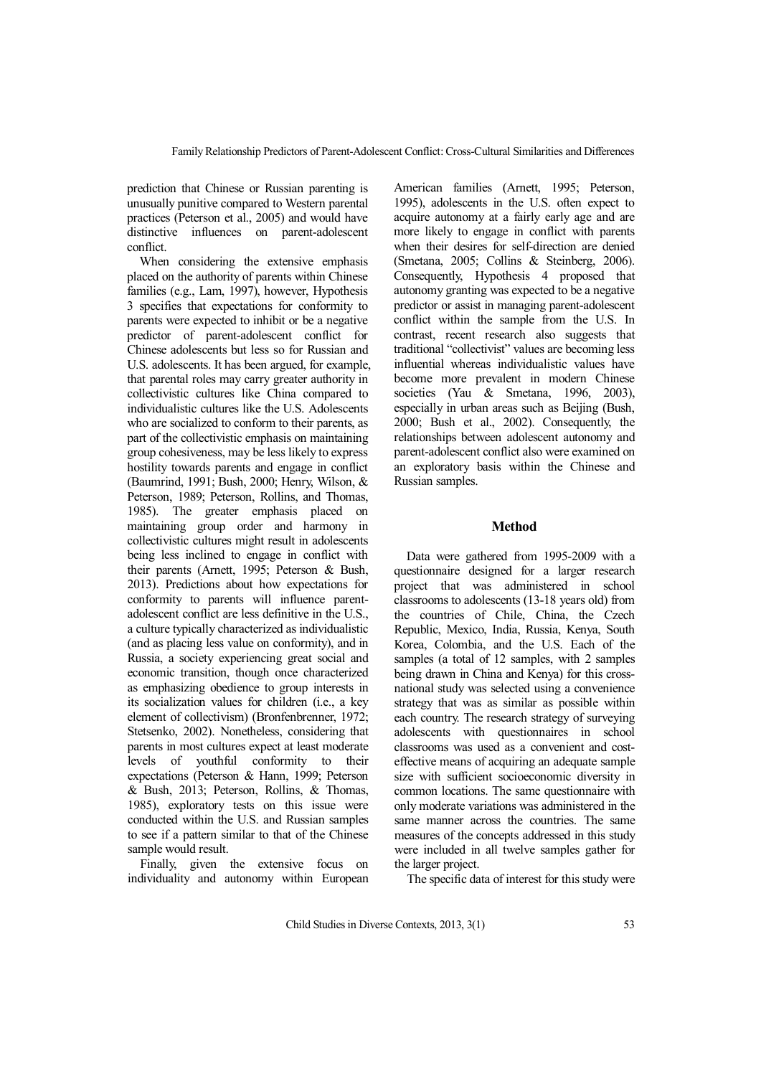prediction that Chinese or Russian parenting is unusually punitive compared to Western parental practices (Peterson et al., 2005) and would have distinctive influences on parent-adolescent conflict.

When considering the extensive emphasis placed on the authority of parents within Chinese families (e.g., Lam, 1997), however, Hypothesis 3 specifies that expectations for conformity to parents were expected to inhibit or be a negative predictor of parent-adolescent conflict for Chinese adolescents but less so for Russian and U.S. adolescents. It has been argued, for example, that parental roles may carry greater authority in collectivistic cultures like China compared to individualistic cultures like the U.S. Adolescents who are socialized to conform to their parents, as part of the collectivistic emphasis on maintaining group cohesiveness, may be less likely to express hostility towards parents and engage in conflict (Baumrind, 1991; Bush, 2000; Henry, Wilson, & Peterson, 1989; Peterson, Rollins, and Thomas, 1985). The greater emphasis placed on maintaining group order and harmony in collectivistic cultures might result in adolescents being less inclined to engage in conflict with their parents (Arnett, 1995; Peterson & Bush, 2013). Predictions about how expectations for conformity to parents will influence parentadolescent conflict are less definitive in the U.S., a culture typically characterized as individualistic (and as placing less value on conformity), and in Russia, a society experiencing great social and economic transition, though once characterized as emphasizing obedience to group interests in its socialization values for children (i.e., a key element of collectivism) (Bronfenbrenner, 1972; Stetsenko, 2002). Nonetheless, considering that parents in most cultures expect at least moderate levels of youthful conformity to their expectations (Peterson & Hann, 1999; Peterson & Bush, 2013; Peterson, Rollins, & Thomas, 1985), exploratory tests on this issue were conducted within the U.S. and Russian samples to see if a pattern similar to that of the Chinese sample would result.

Finally, given the extensive focus on individuality and autonomy within European American families (Arnett, 1995; Peterson, 1995), adolescents in the U.S. often expect to acquire autonomy at a fairly early age and are more likely to engage in conflict with parents when their desires for self-direction are denied (Smetana, 2005; Collins & Steinberg, 2006). Consequently, Hypothesis 4 proposed that autonomy granting was expected to be a negative predictor or assist in managing parent-adolescent conflict within the sample from the U.S. In contrast, recent research also suggests that traditional "collectivist" values are becoming less influential whereas individualistic values have become more prevalent in modern Chinese societies (Yau & Smetana, 1996, 2003), especially in urban areas such as Beijing (Bush, 2000; Bush et al., 2002). Consequently, the relationships between adolescent autonomy and parent-adolescent conflict also were examined on an exploratory basis within the Chinese and Russian samples.

#### **Method**

Data were gathered from 1995-2009 with a questionnaire designed for a larger research project that was administered in school classrooms to adolescents (13-18 years old) from the countries of Chile, China, the Czech Republic, Mexico, India, Russia, Kenya, South Korea, Colombia, and the U.S. Each of the samples (a total of 12 samples, with 2 samples being drawn in China and Kenya) for this crossnational study was selected using a convenience strategy that was as similar as possible within each country. The research strategy of surveying adolescents with questionnaires in school classrooms was used as a convenient and costeffective means of acquiring an adequate sample size with sufficient socioeconomic diversity in common locations. The same questionnaire with only moderate variations was administered in the same manner across the countries. The same measures of the concepts addressed in this study were included in all twelve samples gather for the larger project.

The specific data of interest for this study were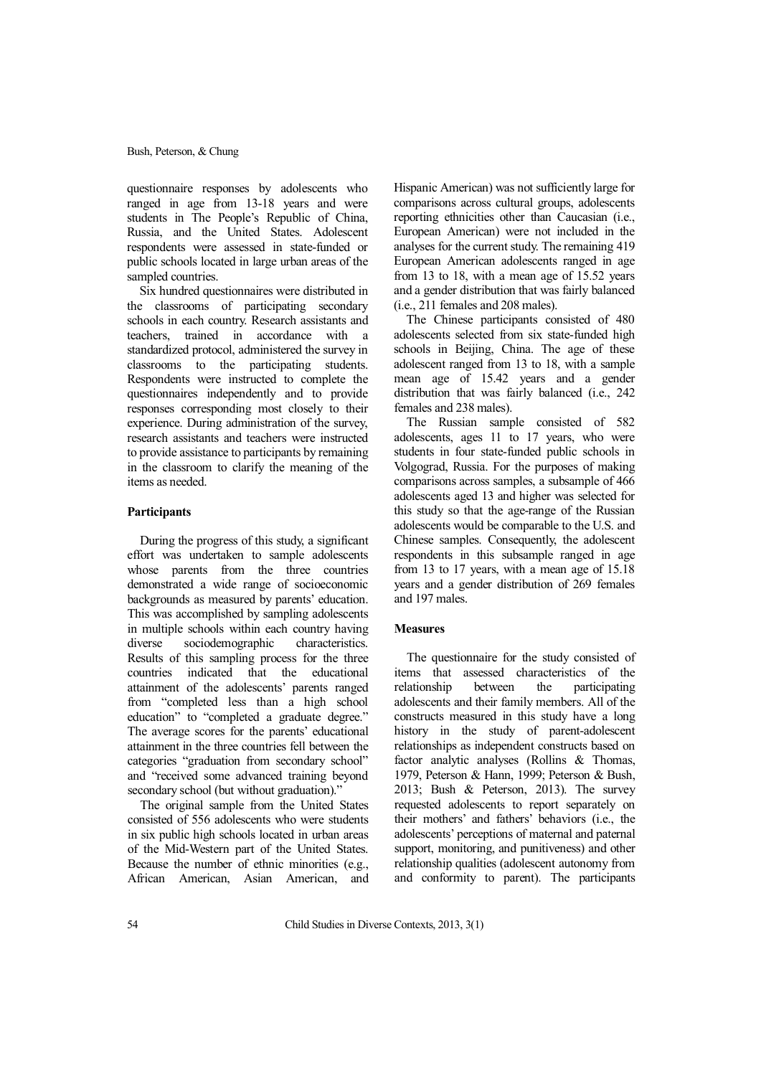questionnaire responses by adolescents who ranged in age from 13-18 years and were students in The People's Republic of China, Russia, and the United States. Adolescent respondents were assessed in state-funded or public schools located in large urban areas of the sampled countries.

Six hundred questionnaires were distributed in the classrooms of participating secondary schools in each country. Research assistants and teachers, trained in accordance with a standardized protocol, administered the survey in classrooms to the participating students. Respondents were instructed to complete the questionnaires independently and to provide responses corresponding most closely to their experience. During administration of the survey, research assistants and teachers were instructed to provide assistance to participants by remaining in the classroom to clarify the meaning of the items as needed.

#### **Participants**

During the progress of this study, a significant effort was undertaken to sample adolescents whose parents from the three countries demonstrated a wide range of socioeconomic backgrounds as measured by parents' education. This was accomplished by sampling adolescents in multiple schools within each country having<br>diverse sociodemographic characteristics. diverse sociodemographic Results of this sampling process for the three countries indicated that the educational attainment of the adolescents' parents ranged from "completed less than a high school education" to "completed a graduate degree." The average scores for the parents' educational attainment in the three countries fell between the categories "graduation from secondary school" and "received some advanced training beyond secondary school (but without graduation)."

The original sample from the United States consisted of 556 adolescents who were students in six public high schools located in urban areas of the Mid-Western part of the United States. Because the number of ethnic minorities (e.g., African American, Asian American, and Hispanic American) was not sufficiently large for comparisons across cultural groups, adolescents reporting ethnicities other than Caucasian (i.e., European American) were not included in the analyses for the current study. The remaining 419 European American adolescents ranged in age from 13 to 18, with a mean age of 15.52 years and a gender distribution that was fairly balanced (i.e., 211 females and 208 males).

The Chinese participants consisted of 480 adolescents selected from six state-funded high schools in Beijing, China. The age of these adolescent ranged from 13 to 18, with a sample mean age of 15.42 years and a gender distribution that was fairly balanced (i.e., 242 females and 238 males).

The Russian sample consisted of 582 adolescents, ages 11 to 17 years, who were students in four state-funded public schools in Volgograd, Russia. For the purposes of making comparisons across samples, a subsample of 466 adolescents aged 13 and higher was selected for this study so that the age-range of the Russian adolescents would be comparable to the U.S. and Chinese samples. Consequently, the adolescent respondents in this subsample ranged in age from 13 to 17 years, with a mean age of 15.18 years and a gender distribution of 269 females and 197 males.

#### **Measures**

The questionnaire for the study consisted of items that assessed characteristics of the relationship between the participating adolescents and their family members. All of the constructs measured in this study have a long history in the study of parent-adolescent relationships as independent constructs based on factor analytic analyses (Rollins & Thomas, 1979, Peterson & Hann, 1999; Peterson & Bush, 2013; Bush & Peterson, 2013). The survey requested adolescents to report separately on their mothers' and fathers' behaviors (i.e., the adolescents' perceptions of maternal and paternal support, monitoring, and punitiveness) and other relationship qualities (adolescent autonomy from and conformity to parent). The participants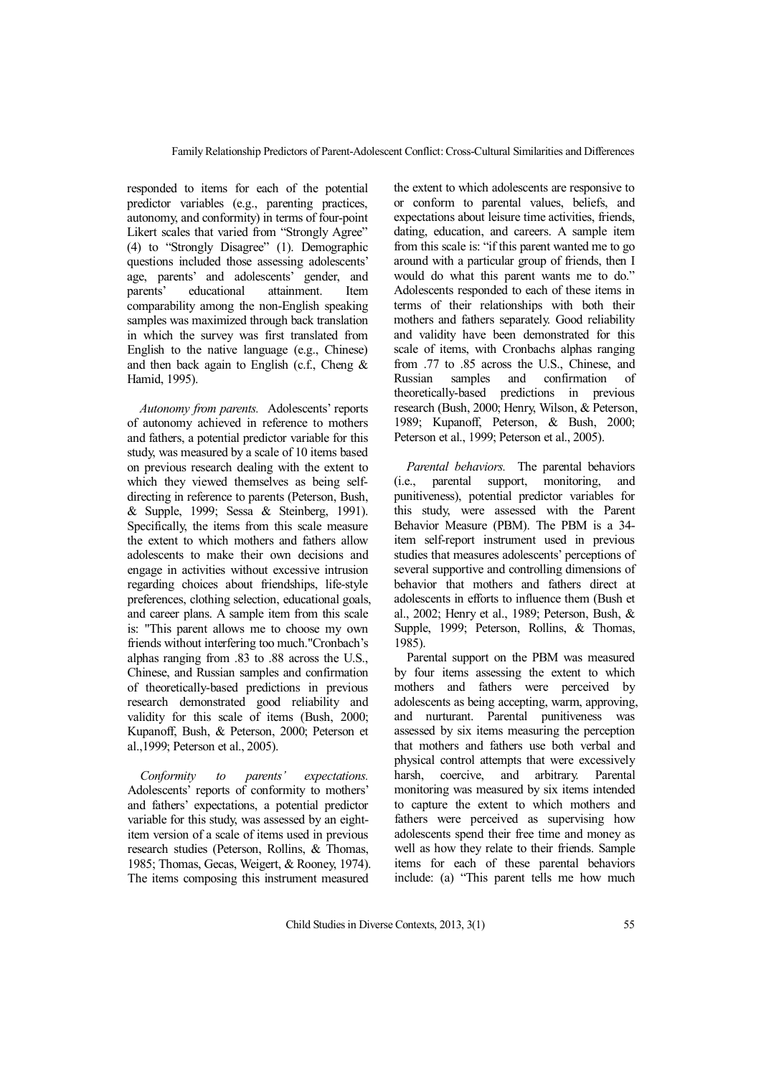responded to items for each of the potential predictor variables (e.g., parenting practices, autonomy, and conformity) in terms of four-point Likert scales that varied from "Strongly Agree" (4) to "Strongly Disagree" (1). Demographic questions included those assessing adolescents' age, parents' and adolescents' gender, and parents' educational attainment. Item comparability among the non-English speaking samples was maximized through back translation in which the survey was first translated from English to the native language (e.g., Chinese) and then back again to English (c.f., Cheng  $\&$ Hamid, 1995).

*Autonomy from parents.* Adolescents' reports of autonomy achieved in reference to mothers and fathers, a potential predictor variable for this study, was measured by a scale of 10 items based on previous research dealing with the extent to which they viewed themselves as being selfdirecting in reference to parents (Peterson, Bush, & Supple, 1999; Sessa & Steinberg, 1991). Specifically, the items from this scale measure the extent to which mothers and fathers allow adolescents to make their own decisions and engage in activities without excessive intrusion regarding choices about friendships, life-style preferences, clothing selection, educational goals, and career plans. A sample item from this scale is: "This parent allows me to choose my own friends without interfering too much."Cronbach's alphas ranging from .83 to .88 across the U.S., Chinese, and Russian samples and confirmation of theoretically-based predictions in previous research demonstrated good reliability and validity for this scale of items (Bush, 2000; Kupanoff, Bush, & Peterson, 2000; Peterson et al.,1999; Peterson et al., 2005).

*Conformity to parents' expectations.* Adolescents' reports of conformity to mothers' and fathers' expectations, a potential predictor variable for this study, was assessed by an eightitem version of a scale of items used in previous research studies (Peterson, Rollins, & Thomas, 1985; Thomas, Gecas, Weigert, & Rooney, 1974). The items composing this instrument measured

the extent to which adolescents are responsive to or conform to parental values, beliefs, and expectations about leisure time activities, friends, dating, education, and careers. A sample item from this scale is: "if this parent wanted me to go around with a particular group of friends, then I would do what this parent wants me to do." Adolescents responded to each of these items in terms of their relationships with both their mothers and fathers separately. Good reliability and validity have been demonstrated for this scale of items, with Cronbachs alphas ranging from .77 to .85 across the U.S., Chinese, and Russian samples and confirmation of theoretically-based predictions in previous research (Bush, 2000; Henry, Wilson, & Peterson, 1989; Kupanoff, Peterson, & Bush, 2000; Peterson et al., 1999; Peterson et al., 2005).

*Parental behaviors.* The parental behaviors (i.e., parental support, monitoring, and punitiveness), potential predictor variables for this study, were assessed with the Parent Behavior Measure (PBM). The PBM is a 34 item self-report instrument used in previous studies that measures adolescents' perceptions of several supportive and controlling dimensions of behavior that mothers and fathers direct at adolescents in efforts to influence them (Bush et al., 2002; Henry et al., 1989; Peterson, Bush, & Supple, 1999; Peterson, Rollins, & Thomas, 1985).

Parental support on the PBM was measured by four items assessing the extent to which mothers and fathers were perceived by adolescents as being accepting, warm, approving, and nurturant. Parental punitiveness was assessed by six items measuring the perception that mothers and fathers use both verbal and physical control attempts that were excessively harsh, coercive, and arbitrary. Parental monitoring was measured by six items intended to capture the extent to which mothers and fathers were perceived as supervising how adolescents spend their free time and money as well as how they relate to their friends. Sample items for each of these parental behaviors include: (a) "This parent tells me how much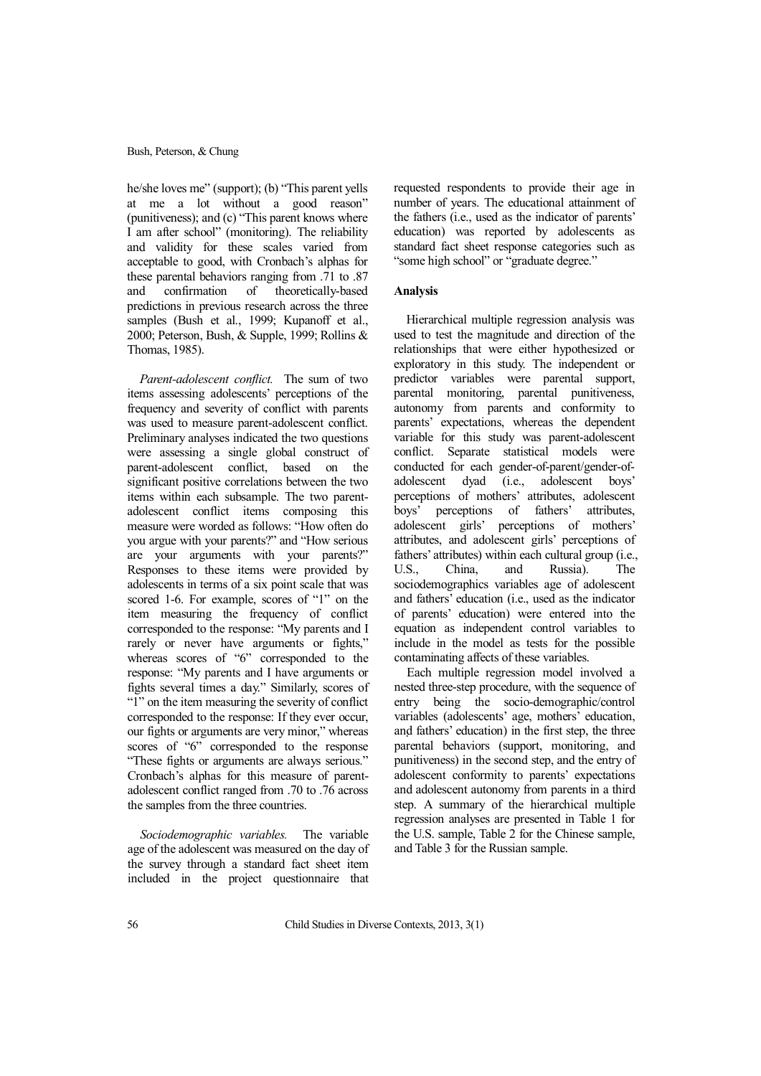he/she loves me" (support); (b) "This parent yells at me a lot without a good reason" (punitiveness); and (c) "This parent knows where I am after school" (monitoring). The reliability and validity for these scales varied from acceptable to good, with Cronbach's alphas for these parental behaviors ranging from .71 to .87 and confirmation of theoretically-based predictions in previous research across the three samples (Bush et al., 1999; Kupanoff et al., 2000; Peterson, Bush, & Supple, 1999; Rollins & Thomas, 1985).

*Parent-adolescent conflict.* The sum of two items assessing adolescents' perceptions of the frequency and severity of conflict with parents was used to measure parent-adolescent conflict. Preliminary analyses indicated the two questions were assessing a single global construct of parent-adolescent conflict, based on the significant positive correlations between the two items within each subsample. The two parentadolescent conflict items composing this measure were worded as follows: "How often do you argue with your parents?" and "How serious are your arguments with your parents?" Responses to these items were provided by adolescents in terms of a six point scale that was scored 1-6. For example, scores of "1" on the item measuring the frequency of conflict corresponded to the response: "My parents and I rarely or never have arguments or fights," whereas scores of "6" corresponded to the response: "My parents and I have arguments or fights several times a day." Similarly, scores of "1" on the item measuring the severity of conflict corresponded to the response: If they ever occur, our fights or arguments are very minor," whereas scores of "6" corresponded to the response "These fights or arguments are always serious." Cronbach's alphas for this measure of parentadolescent conflict ranged from .70 to .76 across the samples from the three countries.

*Sociodemographic variables.* The variable age of the adolescent was measured on the day of the survey through a standard fact sheet item included in the project questionnaire that

requested respondents to provide their age in number of years. The educational attainment of the fathers (i.e., used as the indicator of parents' education) was reported by adolescents as standard fact sheet response categories such as "some high school" or "graduate degree."

# **Analysis**

Hierarchical multiple regression analysis was used to test the magnitude and direction of the relationships that were either hypothesized or exploratory in this study. The independent or predictor variables were parental support, parental monitoring, parental punitiveness, autonomy from parents and conformity to parents' expectations, whereas the dependent variable for this study was parent-adolescent conflict. Separate statistical models were conducted for each gender-of-parent/gender-ofadolescent dyad (i.e., adolescent boys' perceptions of mothers' attributes, adolescent boys' perceptions of fathers' attributes, adolescent girls' perceptions of mothers' attributes, and adolescent girls' perceptions of fathers' attributes) within each cultural group (i.e., U.S., China, and Russia). The sociodemographics variables age of adolescent and fathers' education (i.e., used as the indicator of parents' education) were entered into the equation as independent control variables to include in the model as tests for the possible contaminating affects of these variables.

Each multiple regression model involved a nested three-step procedure, with the sequence of entry being the socio-demographic/control variables (adolescents' age, mothers' education, and fathers' education) in the first step, the three parental behaviors (support, monitoring, and punitiveness) in the second step, and the entry of adolescent conformity to parents' expectations and adolescent autonomy from parents in a third step. A summary of the hierarchical multiple regression analyses are presented in Table 1 for the U.S. sample, Table 2 for the Chinese sample, and Table 3 for the Russian sample.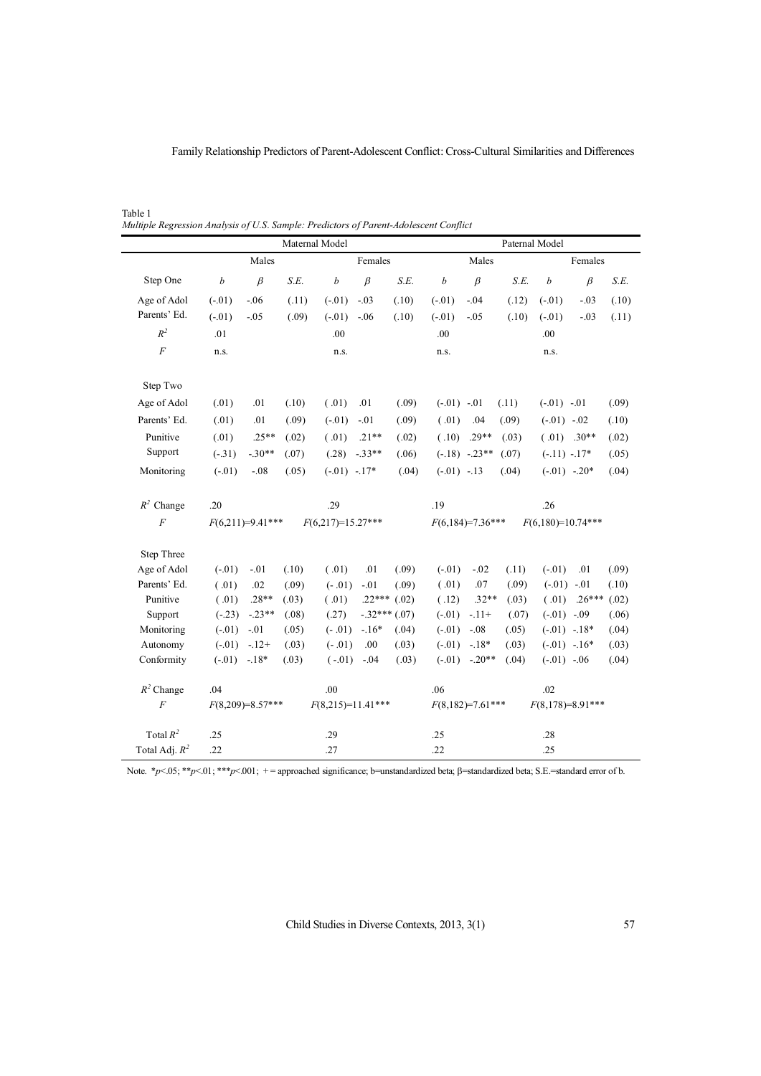Family Relationship Predictors of Parent-Adolescent Conflict: Cross-Cultural Similarities and Differences

Table 1 *Multiple Regression Analysis of U.S. Sample: Predictors of Parent-Adolescent Conflict* 

| Females<br>Females<br>Males<br>Males<br>$\beta$<br>$\beta$<br>$\beta$<br>Step One<br>$\boldsymbol{b}$<br>S.E.<br>$\boldsymbol{b}$<br>S.E.<br>$\boldsymbol{b}$<br>$\beta$<br>S.E.<br>$\boldsymbol{b}$<br>S.E.<br>$(-.01)$<br>$(-.01)$<br>$(-.01)$<br>$(-.01)$<br>Age of Adol<br>$-.06$<br>(.11)<br>$-.03$<br>(.10)<br>$-.04$<br>(.12)<br>$-.03$<br>(.10)<br>Parents' Ed.<br>$(-.01)$<br>(.09)<br>$(-.01)$<br>$(-.01)$<br>$-.05$<br>$-.06$<br>(.10)<br>$-.05$<br>(.10)<br>$(-.01)$<br>$-.03$<br>(.11)<br>$R^2$<br>.01<br>.00<br>.00<br>.00<br>$\overline{F}$<br>n.s.<br>n.s.<br>n.s.<br>n.s.<br>Step Two<br>Age of Adol<br>(.01)<br>(.10)<br>(.01)<br>.01<br>(.09)<br>(.09)<br>.01<br>$(-.01)$ $-.01$<br>(.11)<br>$(-.01)$ $-.01$<br>Parents' Ed.<br>(.01)<br>.01<br>(.09)<br>$(-.01)$<br>$-.01$<br>(.09)<br>(.01)<br>.04<br>(.09)<br>$(-.01)$ $-.02$<br>(.10)<br>Punitive<br>(.01)<br>$.25**$<br>(.10)<br>$.29**$<br>$(.01)$ .30**<br>(.02)<br>(.01)<br>$.21**$<br>(.02)<br>(.03)<br>(.02)<br>Support<br>$-.30**$<br>$(-.31)$<br>(.07)<br>(.28)<br>$-.33**$<br>(.06)<br>$(-.18)$ $-.23**$<br>(.07)<br>$(-.11) - .17*$<br>(.05)<br>$-.08$<br>$(-.01)$ $-.17*$<br>$(-.01) -13$<br>$(-.01)$ $-.20*$<br>Monitoring<br>$(-.01)$<br>(.05)<br>(.04)<br>(.04)<br>(.04)<br>$R^2$ Change<br>.29<br>.19<br>.26<br>.20<br>$\overline{F}$<br>$F(6,180)=10.74***$<br>$F(6,217)=15.27***$<br>$F(6,184)=7.36***$<br>$F(6,211)=9.41***$<br>Step Three<br>Age of Adol<br>$(-.01)$<br>(.10)<br>(.01)<br>.01<br>(.09)<br>$(-.01)$<br>$-.02$<br>$(-.01)$<br>(.09)<br>$-.01$<br>(.11)<br>.01<br>Parents' Ed.<br>.07<br>$(-.01)$ $-.01$<br>(.01)<br>.02<br>(.09)<br>$(-.01)$<br>$-.01$<br>(.09)<br>(.01)<br>(.09)<br>(.10)<br>$.28**$<br>$.32**$<br>Punitive<br>(.01)<br>(.01)<br>$.22***$ (.02)<br>(.12)<br>(.01)<br>$.26***$<br>(.02)<br>(.03)<br>(.03)<br>$-.32***(07)$<br>Support<br>$(-.23)$<br>$-.23**$<br>(.08)<br>(.27)<br>$(-.01)$<br>$-.11+$<br>(.07)<br>$(-.01)$ $-.09$<br>(.06)<br>Monitoring<br>$-.16*$<br>$(-.01)$ $-.18*$<br>$(-.01)$<br>$-.01$<br>(.05)<br>$(-.01)$<br>(.04)<br>$(-.01)$<br>$-.08$<br>(.05)<br>(.04)<br>Autonomy<br>$(-.01)$<br>$-.12+$<br>$(-.01)$<br>.00<br>(.03)<br>$(-.01)$<br>$-.18*$<br>$(-.01)$ $-.16*$<br>(.03)<br>(.03)<br>(.03)<br>Conformity<br>$(-.01)$ $-.20**$<br>$(-.01)$ $-.18*$<br>(.03)<br>$(-.01)$<br>$-.04$<br>(.03)<br>(.04)<br>$(-.01)$ $-.06$<br>(.04) |  |  |  | Maternal Model | Paternal Model |  |  |  |  |  |  |  |  |
|---------------------------------------------------------------------------------------------------------------------------------------------------------------------------------------------------------------------------------------------------------------------------------------------------------------------------------------------------------------------------------------------------------------------------------------------------------------------------------------------------------------------------------------------------------------------------------------------------------------------------------------------------------------------------------------------------------------------------------------------------------------------------------------------------------------------------------------------------------------------------------------------------------------------------------------------------------------------------------------------------------------------------------------------------------------------------------------------------------------------------------------------------------------------------------------------------------------------------------------------------------------------------------------------------------------------------------------------------------------------------------------------------------------------------------------------------------------------------------------------------------------------------------------------------------------------------------------------------------------------------------------------------------------------------------------------------------------------------------------------------------------------------------------------------------------------------------------------------------------------------------------------------------------------------------------------------------------------------------------------------------------------------------------------------------------------------------------------------------------------------------------------------------------------------------------------------------------------------------------------------------------------------------------------------------------------------------------------------------------------------------------|--|--|--|----------------|----------------|--|--|--|--|--|--|--|--|
|                                                                                                                                                                                                                                                                                                                                                                                                                                                                                                                                                                                                                                                                                                                                                                                                                                                                                                                                                                                                                                                                                                                                                                                                                                                                                                                                                                                                                                                                                                                                                                                                                                                                                                                                                                                                                                                                                                                                                                                                                                                                                                                                                                                                                                                                                                                                                                                       |  |  |  |                |                |  |  |  |  |  |  |  |  |
|                                                                                                                                                                                                                                                                                                                                                                                                                                                                                                                                                                                                                                                                                                                                                                                                                                                                                                                                                                                                                                                                                                                                                                                                                                                                                                                                                                                                                                                                                                                                                                                                                                                                                                                                                                                                                                                                                                                                                                                                                                                                                                                                                                                                                                                                                                                                                                                       |  |  |  |                |                |  |  |  |  |  |  |  |  |
|                                                                                                                                                                                                                                                                                                                                                                                                                                                                                                                                                                                                                                                                                                                                                                                                                                                                                                                                                                                                                                                                                                                                                                                                                                                                                                                                                                                                                                                                                                                                                                                                                                                                                                                                                                                                                                                                                                                                                                                                                                                                                                                                                                                                                                                                                                                                                                                       |  |  |  |                |                |  |  |  |  |  |  |  |  |
|                                                                                                                                                                                                                                                                                                                                                                                                                                                                                                                                                                                                                                                                                                                                                                                                                                                                                                                                                                                                                                                                                                                                                                                                                                                                                                                                                                                                                                                                                                                                                                                                                                                                                                                                                                                                                                                                                                                                                                                                                                                                                                                                                                                                                                                                                                                                                                                       |  |  |  |                |                |  |  |  |  |  |  |  |  |
|                                                                                                                                                                                                                                                                                                                                                                                                                                                                                                                                                                                                                                                                                                                                                                                                                                                                                                                                                                                                                                                                                                                                                                                                                                                                                                                                                                                                                                                                                                                                                                                                                                                                                                                                                                                                                                                                                                                                                                                                                                                                                                                                                                                                                                                                                                                                                                                       |  |  |  |                |                |  |  |  |  |  |  |  |  |
|                                                                                                                                                                                                                                                                                                                                                                                                                                                                                                                                                                                                                                                                                                                                                                                                                                                                                                                                                                                                                                                                                                                                                                                                                                                                                                                                                                                                                                                                                                                                                                                                                                                                                                                                                                                                                                                                                                                                                                                                                                                                                                                                                                                                                                                                                                                                                                                       |  |  |  |                |                |  |  |  |  |  |  |  |  |
|                                                                                                                                                                                                                                                                                                                                                                                                                                                                                                                                                                                                                                                                                                                                                                                                                                                                                                                                                                                                                                                                                                                                                                                                                                                                                                                                                                                                                                                                                                                                                                                                                                                                                                                                                                                                                                                                                                                                                                                                                                                                                                                                                                                                                                                                                                                                                                                       |  |  |  |                |                |  |  |  |  |  |  |  |  |
|                                                                                                                                                                                                                                                                                                                                                                                                                                                                                                                                                                                                                                                                                                                                                                                                                                                                                                                                                                                                                                                                                                                                                                                                                                                                                                                                                                                                                                                                                                                                                                                                                                                                                                                                                                                                                                                                                                                                                                                                                                                                                                                                                                                                                                                                                                                                                                                       |  |  |  |                |                |  |  |  |  |  |  |  |  |
|                                                                                                                                                                                                                                                                                                                                                                                                                                                                                                                                                                                                                                                                                                                                                                                                                                                                                                                                                                                                                                                                                                                                                                                                                                                                                                                                                                                                                                                                                                                                                                                                                                                                                                                                                                                                                                                                                                                                                                                                                                                                                                                                                                                                                                                                                                                                                                                       |  |  |  |                |                |  |  |  |  |  |  |  |  |
|                                                                                                                                                                                                                                                                                                                                                                                                                                                                                                                                                                                                                                                                                                                                                                                                                                                                                                                                                                                                                                                                                                                                                                                                                                                                                                                                                                                                                                                                                                                                                                                                                                                                                                                                                                                                                                                                                                                                                                                                                                                                                                                                                                                                                                                                                                                                                                                       |  |  |  |                |                |  |  |  |  |  |  |  |  |
|                                                                                                                                                                                                                                                                                                                                                                                                                                                                                                                                                                                                                                                                                                                                                                                                                                                                                                                                                                                                                                                                                                                                                                                                                                                                                                                                                                                                                                                                                                                                                                                                                                                                                                                                                                                                                                                                                                                                                                                                                                                                                                                                                                                                                                                                                                                                                                                       |  |  |  |                |                |  |  |  |  |  |  |  |  |
|                                                                                                                                                                                                                                                                                                                                                                                                                                                                                                                                                                                                                                                                                                                                                                                                                                                                                                                                                                                                                                                                                                                                                                                                                                                                                                                                                                                                                                                                                                                                                                                                                                                                                                                                                                                                                                                                                                                                                                                                                                                                                                                                                                                                                                                                                                                                                                                       |  |  |  |                |                |  |  |  |  |  |  |  |  |
|                                                                                                                                                                                                                                                                                                                                                                                                                                                                                                                                                                                                                                                                                                                                                                                                                                                                                                                                                                                                                                                                                                                                                                                                                                                                                                                                                                                                                                                                                                                                                                                                                                                                                                                                                                                                                                                                                                                                                                                                                                                                                                                                                                                                                                                                                                                                                                                       |  |  |  |                |                |  |  |  |  |  |  |  |  |
|                                                                                                                                                                                                                                                                                                                                                                                                                                                                                                                                                                                                                                                                                                                                                                                                                                                                                                                                                                                                                                                                                                                                                                                                                                                                                                                                                                                                                                                                                                                                                                                                                                                                                                                                                                                                                                                                                                                                                                                                                                                                                                                                                                                                                                                                                                                                                                                       |  |  |  |                |                |  |  |  |  |  |  |  |  |
|                                                                                                                                                                                                                                                                                                                                                                                                                                                                                                                                                                                                                                                                                                                                                                                                                                                                                                                                                                                                                                                                                                                                                                                                                                                                                                                                                                                                                                                                                                                                                                                                                                                                                                                                                                                                                                                                                                                                                                                                                                                                                                                                                                                                                                                                                                                                                                                       |  |  |  |                |                |  |  |  |  |  |  |  |  |
|                                                                                                                                                                                                                                                                                                                                                                                                                                                                                                                                                                                                                                                                                                                                                                                                                                                                                                                                                                                                                                                                                                                                                                                                                                                                                                                                                                                                                                                                                                                                                                                                                                                                                                                                                                                                                                                                                                                                                                                                                                                                                                                                                                                                                                                                                                                                                                                       |  |  |  |                |                |  |  |  |  |  |  |  |  |
|                                                                                                                                                                                                                                                                                                                                                                                                                                                                                                                                                                                                                                                                                                                                                                                                                                                                                                                                                                                                                                                                                                                                                                                                                                                                                                                                                                                                                                                                                                                                                                                                                                                                                                                                                                                                                                                                                                                                                                                                                                                                                                                                                                                                                                                                                                                                                                                       |  |  |  |                |                |  |  |  |  |  |  |  |  |
|                                                                                                                                                                                                                                                                                                                                                                                                                                                                                                                                                                                                                                                                                                                                                                                                                                                                                                                                                                                                                                                                                                                                                                                                                                                                                                                                                                                                                                                                                                                                                                                                                                                                                                                                                                                                                                                                                                                                                                                                                                                                                                                                                                                                                                                                                                                                                                                       |  |  |  |                |                |  |  |  |  |  |  |  |  |
|                                                                                                                                                                                                                                                                                                                                                                                                                                                                                                                                                                                                                                                                                                                                                                                                                                                                                                                                                                                                                                                                                                                                                                                                                                                                                                                                                                                                                                                                                                                                                                                                                                                                                                                                                                                                                                                                                                                                                                                                                                                                                                                                                                                                                                                                                                                                                                                       |  |  |  |                |                |  |  |  |  |  |  |  |  |
|                                                                                                                                                                                                                                                                                                                                                                                                                                                                                                                                                                                                                                                                                                                                                                                                                                                                                                                                                                                                                                                                                                                                                                                                                                                                                                                                                                                                                                                                                                                                                                                                                                                                                                                                                                                                                                                                                                                                                                                                                                                                                                                                                                                                                                                                                                                                                                                       |  |  |  |                |                |  |  |  |  |  |  |  |  |
|                                                                                                                                                                                                                                                                                                                                                                                                                                                                                                                                                                                                                                                                                                                                                                                                                                                                                                                                                                                                                                                                                                                                                                                                                                                                                                                                                                                                                                                                                                                                                                                                                                                                                                                                                                                                                                                                                                                                                                                                                                                                                                                                                                                                                                                                                                                                                                                       |  |  |  |                |                |  |  |  |  |  |  |  |  |
|                                                                                                                                                                                                                                                                                                                                                                                                                                                                                                                                                                                                                                                                                                                                                                                                                                                                                                                                                                                                                                                                                                                                                                                                                                                                                                                                                                                                                                                                                                                                                                                                                                                                                                                                                                                                                                                                                                                                                                                                                                                                                                                                                                                                                                                                                                                                                                                       |  |  |  |                |                |  |  |  |  |  |  |  |  |
|                                                                                                                                                                                                                                                                                                                                                                                                                                                                                                                                                                                                                                                                                                                                                                                                                                                                                                                                                                                                                                                                                                                                                                                                                                                                                                                                                                                                                                                                                                                                                                                                                                                                                                                                                                                                                                                                                                                                                                                                                                                                                                                                                                                                                                                                                                                                                                                       |  |  |  |                |                |  |  |  |  |  |  |  |  |
|                                                                                                                                                                                                                                                                                                                                                                                                                                                                                                                                                                                                                                                                                                                                                                                                                                                                                                                                                                                                                                                                                                                                                                                                                                                                                                                                                                                                                                                                                                                                                                                                                                                                                                                                                                                                                                                                                                                                                                                                                                                                                                                                                                                                                                                                                                                                                                                       |  |  |  |                |                |  |  |  |  |  |  |  |  |
|                                                                                                                                                                                                                                                                                                                                                                                                                                                                                                                                                                                                                                                                                                                                                                                                                                                                                                                                                                                                                                                                                                                                                                                                                                                                                                                                                                                                                                                                                                                                                                                                                                                                                                                                                                                                                                                                                                                                                                                                                                                                                                                                                                                                                                                                                                                                                                                       |  |  |  |                |                |  |  |  |  |  |  |  |  |
| $R^2$ Change<br>.06<br>.02<br>.04<br>.00                                                                                                                                                                                                                                                                                                                                                                                                                                                                                                                                                                                                                                                                                                                                                                                                                                                                                                                                                                                                                                                                                                                                                                                                                                                                                                                                                                                                                                                                                                                                                                                                                                                                                                                                                                                                                                                                                                                                                                                                                                                                                                                                                                                                                                                                                                                                              |  |  |  |                |                |  |  |  |  |  |  |  |  |
| $\boldsymbol{F}$<br>$F(8,209)=8.57***$<br>$F(8,178)=8.91***$<br>$F(8,215)=11.41***$<br>$F(8,182)=7.61***$                                                                                                                                                                                                                                                                                                                                                                                                                                                                                                                                                                                                                                                                                                                                                                                                                                                                                                                                                                                                                                                                                                                                                                                                                                                                                                                                                                                                                                                                                                                                                                                                                                                                                                                                                                                                                                                                                                                                                                                                                                                                                                                                                                                                                                                                             |  |  |  |                |                |  |  |  |  |  |  |  |  |
| Total $R^2$<br>.25<br>.29<br>.25<br>.28                                                                                                                                                                                                                                                                                                                                                                                                                                                                                                                                                                                                                                                                                                                                                                                                                                                                                                                                                                                                                                                                                                                                                                                                                                                                                                                                                                                                                                                                                                                                                                                                                                                                                                                                                                                                                                                                                                                                                                                                                                                                                                                                                                                                                                                                                                                                               |  |  |  |                |                |  |  |  |  |  |  |  |  |
| Total Adj. $R^2$<br>.22<br>.22<br>.27<br>.25                                                                                                                                                                                                                                                                                                                                                                                                                                                                                                                                                                                                                                                                                                                                                                                                                                                                                                                                                                                                                                                                                                                                                                                                                                                                                                                                                                                                                                                                                                                                                                                                                                                                                                                                                                                                                                                                                                                                                                                                                                                                                                                                                                                                                                                                                                                                          |  |  |  |                |                |  |  |  |  |  |  |  |  |

Note.  $*p<.05$ ;  $**p<.01$ ;  $***p<.001$ ;  $+=$  approached significance; b=unstandardized beta;  $\beta$ =standardized beta; S.E.=standard error of b.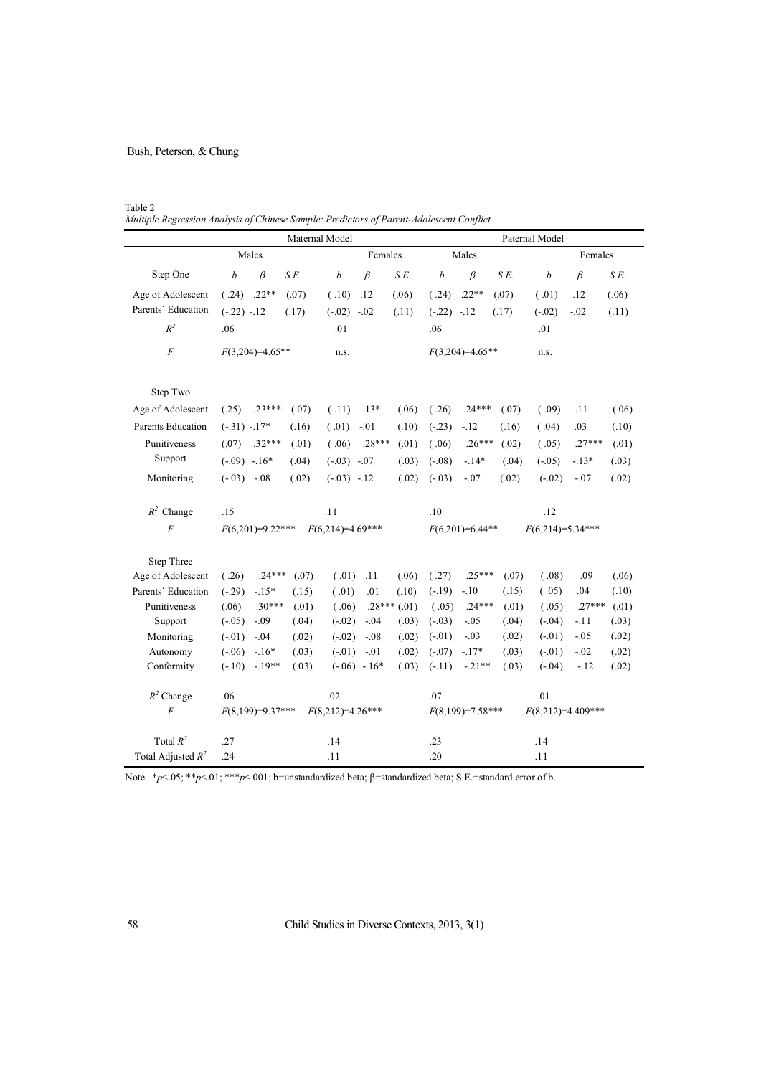Table 2 *0XOB5HJUHV*<br> *Multiple Regression Analysis of Chinese Sample: Predictors of Parent-Adolescent Conflict* 

|                          |                   |                    |       | Maternal Model     |                    |               | Paternal Model    |                    |       |                    |                     |       |  |  |
|--------------------------|-------------------|--------------------|-------|--------------------|--------------------|---------------|-------------------|--------------------|-------|--------------------|---------------------|-------|--|--|
|                          |                   | Males              |       | Females            |                    |               | Males             |                    |       | Females            |                     |       |  |  |
| Step One                 | $\boldsymbol{b}$  | $\beta$            | S.E.  | $\boldsymbol{b}$   | $\beta$            | S.E.          | b                 | $\beta$            | S.E.  | b                  | $\beta$             | S.E.  |  |  |
| Age of Adolescent        | (.24)             | $.22**$            | (.07) | (.10)              | .12                | (.06)         | (.24)             | $.22**$            | (.07) | (.01)              | .12                 | (.06) |  |  |
| Parents' Education       | $(-.22) -12$      |                    | (.17) | $(-.02)$ -.02      |                    | (.11)         | $(-.22) -12$      |                    | (.17) | $(-.02)$           | $-.02$              | (.11) |  |  |
| $R^2$                    | .06               |                    |       | .01                |                    |               | .06               |                    |       | .01                |                     |       |  |  |
| $\boldsymbol{F}$         | $F(3,204)=4.65**$ |                    |       | n.s.               |                    |               | $F(3,204)=4.65**$ |                    |       | n.s.               |                     |       |  |  |
| Step Two                 |                   |                    |       |                    |                    |               |                   |                    |       |                    |                     |       |  |  |
| Age of Adolescent        | (.25)             | $.23***$           | (.07) | (.11)              | $.13*$             | (.06)         | (.26)             | $.24***$           | (.07) | (.09)              | .11                 | (.06) |  |  |
| <b>Parents Education</b> | $(-.31) - 17*$    |                    | (.16) | (.01)              | $-.01$             | (.10)         | $(-.23)$          | $-.12$             | (.16) | (.04)              | .03                 | (.10) |  |  |
| Punitiveness             | (.07)             | $.32***$           | (.01) | (.06)              | $.28***$           | (.01)         | (.06)             | $.26***$           | (.02) | (.05)              | $.27***$            | (.01) |  |  |
| Support                  | $(-.09) -16*$     |                    | (.04) | $(-.03)$ $-.07$    |                    | (.03)         | $(-.08)$          | $-.14*$            | (.04) | $(-.05)$           | $-.13*$             | (.03) |  |  |
| Monitoring               | $(-.03) -.08$     |                    | (.02) | $(-.03) -12$       |                    | (.02)         | $(-.03)$          | $-.07$             | (.02) | $(-.02)$           | $-.07$              | (.02) |  |  |
| $R^2$ Change             | .15               |                    |       | .11                |                    |               | .10               |                    |       | .12                |                     |       |  |  |
| $\overline{F}$           |                   | $F(6,201)=9.22***$ |       | $F(6,214)=4.69***$ |                    |               | $F(6,201)=6.44**$ |                    |       | $F(6,214)=5.34***$ |                     |       |  |  |
| Step Three               |                   |                    |       |                    |                    |               |                   |                    |       |                    |                     |       |  |  |
| Age of Adolescent        | (.26)             | $.24***$           | (.07) | (.01)              | .11                | (.06)         | (.27)             | $.25***$           | (.07) | (.08)              | .09                 | (.06) |  |  |
| Parents' Education       | $(-.29)$          | $-.15*$            | (.15) | (.01)              | .01                | (.10)         | $(-.19)$          | $-.10$             | (.15) | (.05)              | .04                 | (.10) |  |  |
| Punitiveness             | (.06)             | $.30***$           | (.01) | (.06)              |                    | $.28***(.01)$ | (.05)             | $.24***$           | (.01) | (.05)              | $.27***$            | (.01) |  |  |
| Support                  | $(-.05)$          | $-.09$             | (.04) | $(-.02)$           | $-.04$             | (.03)         | $(-.03)$          | $-.05$             | (.04) | $(-.04)$           | $-.11$              | (.03) |  |  |
| Monitoring               | $(-.01)$          | $-.04$             | (.02) | $(-.02)$           | $-.08$             | (.02)         | $(-.01)$          | $-.03$             | (.02) | $(-.01)$           | $-0.05$             | (.02) |  |  |
| Autonomy                 | $(-.06)$          | $-16*$             | (.03) | $(-.01)$           | $-.01$             | (.02)         | $(-.07)$          | $-.17*$            | (.03) | $(-.01)$           | $-.02$              | (.02) |  |  |
| Conformity               | $(-.10)$          | $-.19**$           | (.03) |                    | $(-.06) -16*$      | (.03)         | $(-.11)$          | $-.21**$           | (.03) | $(-.04)$           | $-.12$              | (.02) |  |  |
| $R^2$ Change             | .06               |                    |       | .02                |                    |               | .07               |                    |       | .01                |                     |       |  |  |
| $\cal F$                 |                   | $F(8,199)=9.37***$ |       |                    | $F(8,212)=4.26***$ |               |                   | $F(8,199)=7.58***$ |       |                    | $F(8,212)=4.409***$ |       |  |  |
| Total $R^2$              | .27               |                    |       | .14                |                    |               | .23               |                    |       | .14                |                     |       |  |  |
| Total Adjusted $R^2$     | .24               |                    |       | .11                |                    |               | .20               |                    |       | .11                |                     |       |  |  |

Note.  $*_{p}$ <.05;  $*_{p}$ <.01;  $*_{p}$ <.001; b=unstandardized beta;  $\beta$ =standardized beta; S.E.=standard error of b.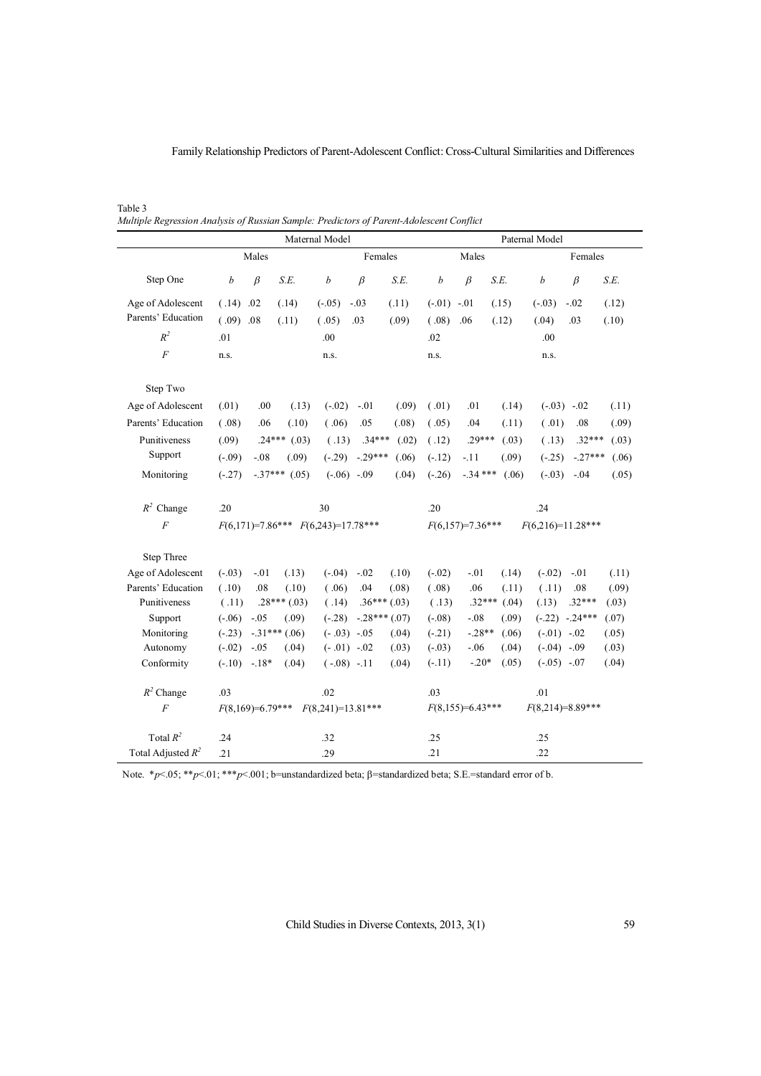Family Relationship Predictors of Parent-Adolescent Conflict: Cross-Cultural Similarities and Differences

Table 3 *Multiple Regression Analysis of Russian Sample: Predictors of Parent-Adolescent Conflict* 

|                      |                                           |         |                   | Maternal Model |                 |               | Paternal Model                            |           |       |                  |                    |       |  |
|----------------------|-------------------------------------------|---------|-------------------|----------------|-----------------|---------------|-------------------------------------------|-----------|-------|------------------|--------------------|-------|--|
|                      | Males                                     |         |                   | Females        |                 |               | Males                                     |           |       | Females          |                    |       |  |
| Step One             | $\boldsymbol{b}$                          | $\beta$ | S.E.              | b              | $\beta$         | S.E.          | b                                         | $\beta$   | S.E.  | $\boldsymbol{b}$ | $\beta$            | S.E.  |  |
| Age of Adolescent    | (.14)                                     | .02     | (.14)             | $(-.05)$       | $-.03$          | (.11)         | $(-.01)$                                  | $-.01$    | (.15) | $(-.03)$         | $-.02$             | (.12) |  |
| Parents' Education   | $(.09)$ .08                               |         | (.11)             | (.05)          | .03             | (.09)         | (.08)                                     | .06       | (.12) | (.04)            | .03                | (.10) |  |
| $R^2$                | .01                                       |         |                   | .00            |                 |               | .02                                       |           |       | .00              |                    |       |  |
| $\cal F$             | n.s.                                      |         |                   | n.s.           |                 |               | n.s.                                      |           |       | n.s.             |                    |       |  |
| Step Two             |                                           |         |                   |                |                 |               |                                           |           |       |                  |                    |       |  |
| Age of Adolescent    | (.01)                                     | .00     | (.13)             | $(-.02)$       | $-.01$          | (.09)         | (.01)                                     | .01       | (.14) |                  | $(-0.03) -0.02$    | (.11) |  |
| Parents' Education   | (.08)                                     | .06     | (.10)             | (.06)          | .05             | (.08)         | (.05)                                     | .04       | (.11) | (.01)            | .08                | (.09) |  |
| Punitiveness         | (.09)                                     |         | $.24***$<br>(.03) | (.13)          | $.34***$        | (.02)         | (.12)                                     | $.29***$  | (.03) | (.13)            | $.32***$           | (.03) |  |
| Support              | $(-.09)$                                  | $-08$   | (.09)             | $(-.29)$       | $-.29***$       | (.06)         | $(-.12)$                                  | $-.11$    | (.09) | $(-.25)$         | $-.27***$          | (.06) |  |
| Monitoring           | $(-.27)$                                  |         | $-.37***$ (.05)   |                | $(-0.06) -0.09$ | (.04)         | $(-.26)$                                  | $-.34***$ | (.06) | $(-0.03)$        | $-.04$             | (.05) |  |
| $R^2$ Change         | .20                                       |         |                   | 30             |                 |               | .20                                       |           |       | .24              |                    |       |  |
| $\cal F$             | $F(6,171)=7.86*** F(6,243)=17.78***$      |         |                   |                |                 |               | $F(6,216)=11.28***$<br>$F(6,157)=7.36***$ |           |       |                  |                    |       |  |
| Step Three           |                                           |         |                   |                |                 |               |                                           |           |       |                  |                    |       |  |
| Age of Adolescent    | $(-.03)$                                  | $-.01$  | (.13)             | $(-.04)$       | $-.02$          | (.10)         | $(-.02)$                                  | $-.01$    | (.14) | $(-.02)$         | $-.01$             | (.11) |  |
| Parents' Education   | (.10)                                     | .08     | (.10)             | (.06)          | .04             | (.08)         | (.08)                                     | .06       | (.11) | (.11)            | .08                | (.09) |  |
| Punitiveness         | (.11)                                     |         | $.28***(.03)$     | (.14)          |                 | $.36***(.03)$ | (.13)                                     | $.32***$  | (.04) | (.13)            | $.32***$           | (.03) |  |
| Support              | $(-.06)$                                  | $-.05$  | (.09)             | $(-.28)$       |                 | $-.28***(07)$ | $(-.08)$                                  | $-.08$    | (.09) |                  | $(-.22)$ $-.24***$ | (.07) |  |
| Monitoring           | $(-.23)$                                  |         | $-.31***$ (.06)   |                | $(-.03) -05$    | (.04)         | $(-.21)$                                  | $-.28**$  | (.06) | $(-.01)$ $-.02$  |                    | (.05) |  |
| Autonomy             | $(-.02)$                                  | $-.05$  | (.04)             |                | $(-.01) -02$    | (.03)         | $(-.03)$                                  | $-.06$    | (.04) | $(-.04)$ $-.09$  |                    | (.03) |  |
| Conformity           | $(-.10)$                                  | $-.18*$ | (.04)             |                | $(-.08) -11$    | (.04)         | $(-.11)$                                  | $-.20*$   | (.05) | $(-.05) -.07$    |                    | (.04) |  |
| $R^2$ Change         | .03                                       |         |                   | .02            |                 |               | .03                                       |           |       | .01              |                    |       |  |
| $\overline{F}$       | $F(8,169)=6.79***$<br>$F(8,241)=13.81***$ |         |                   |                |                 |               | $F(8,155)=6.43***$<br>$F(8,214)=8.89***$  |           |       |                  |                    |       |  |
| Total $R^2$          | .24                                       |         |                   | .32            |                 |               | .25                                       |           |       | .25              |                    |       |  |
| Total Adjusted $R^2$ | .21                                       |         |                   | .29            |                 |               | .21                                       |           |       | .22              |                    |       |  |

Note.  $\binom{1}{2}$   $\leq$  05;  $\binom{1}{2}$   $\leq$  1;  $\binom{1}{2}$   $\leq$  001; b=unstandardized beta;  $\beta$ =standardized beta; S.E.=standard error of b.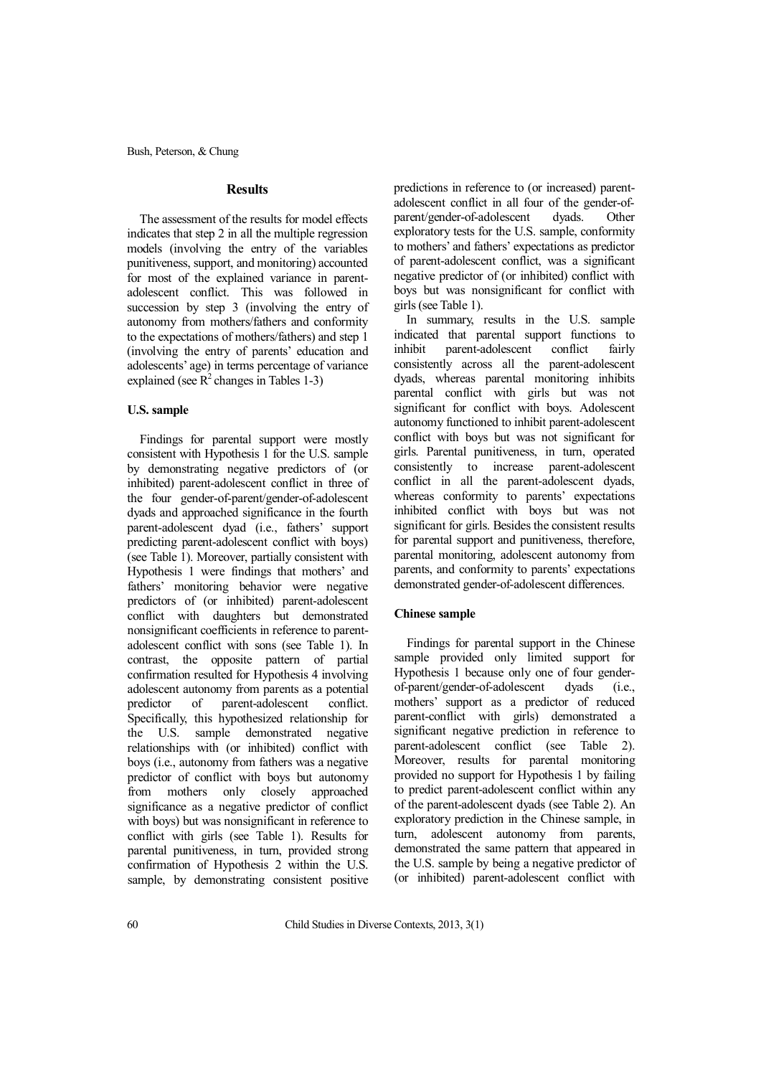## **Results**

The assessment of the results for model effects indicates that step 2 in all the multiple regression models (involving the entry of the variables punitiveness, support, and monitoring) accounted for most of the explained variance in parentadolescent conflict. This was followed in succession by step 3 (involving the entry of autonomy from mothers/fathers and conformity to the expectations of mothers/fathers) and step 1 (involving the entry of parents' education and adolescents' age) in terms percentage of variance explained (see  $\mathbb{R}^2$  changes in Tables 1-3)

# **U.S. sample**

Findings for parental support were mostly consistent with Hypothesis 1 for the U.S. sample by demonstrating negative predictors of (or inhibited) parent-adolescent conflict in three of the four gender-of-parent/gender-of-adolescent dyads and approached significance in the fourth parent-adolescent dyad (i.e., fathers' support predicting parent-adolescent conflict with boys) (see Table 1). Moreover, partially consistent with Hypothesis 1 were findings that mothers' and fathers' monitoring behavior were negative predictors of (or inhibited) parent-adolescent conflict with daughters but demonstrated nonsignificant coefficients in reference to parentadolescent conflict with sons (see Table 1). In contrast, the opposite pattern of partial confirmation resulted for Hypothesis 4 involving adolescent autonomy from parents as a potential predictor of parent-adolescent conflict. Specifically, this hypothesized relationship for the U.S. sample demonstrated negative relationships with (or inhibited) conflict with boys (i.e., autonomy from fathers was a negative predictor of conflict with boys but autonomy from mothers only closely approached significance as a negative predictor of conflict with boys) but was nonsignificant in reference to conflict with girls (see Table 1). Results for parental punitiveness, in turn, provided strong confirmation of Hypothesis 2 within the U.S. sample, by demonstrating consistent positive predictions in reference to (or increased) parentadolescent conflict in all four of the gender-ofparent/gender-of-adolescent dyads. Other exploratory tests for the U.S. sample, conformity to mothers' and fathers' expectations as predictor of parent-adolescent conflict, was a significant negative predictor of (or inhibited) conflict with boys but was nonsignificant for conflict with girls(see Table 1).

In summary, results in the U.S. sample indicated that parental support functions to inhibit parent-adolescent conflict fairly consistently across all the parent-adolescent dyads, whereas parental monitoring inhibits parental conflict with girls but was not significant for conflict with boys. Adolescent autonomy functioned to inhibit parent-adolescent conflict with boys but was not significant for girls. Parental punitiveness, in turn, operated consistently to increase parent-adolescent conflict in all the parent-adolescent dyads, whereas conformity to parents' expectations inhibited conflict with boys but was not significant for girls. Besides the consistent results for parental support and punitiveness, therefore, parental monitoring, adolescent autonomy from parents, and conformity to parents' expectations demonstrated gender-of-adolescent differences.

## **Chinese sample**

Findings for parental support in the Chinese sample provided only limited support for Hypothesis 1 because only one of four genderof-parent/gender-of-adolescent dyads (i.e., mothers' support as a predictor of reduced parent-conflict with girls) demonstrated a significant negative prediction in reference to parent-adolescent conflict (see Table 2). Moreover, results for parental monitoring provided no support for Hypothesis 1 by failing to predict parent-adolescent conflict within any of the parent-adolescent dyads (see Table 2). An exploratory prediction in the Chinese sample, in turn, adolescent autonomy from parents, demonstrated the same pattern that appeared in the U.S. sample by being a negative predictor of (or inhibited) parent-adolescent conflict with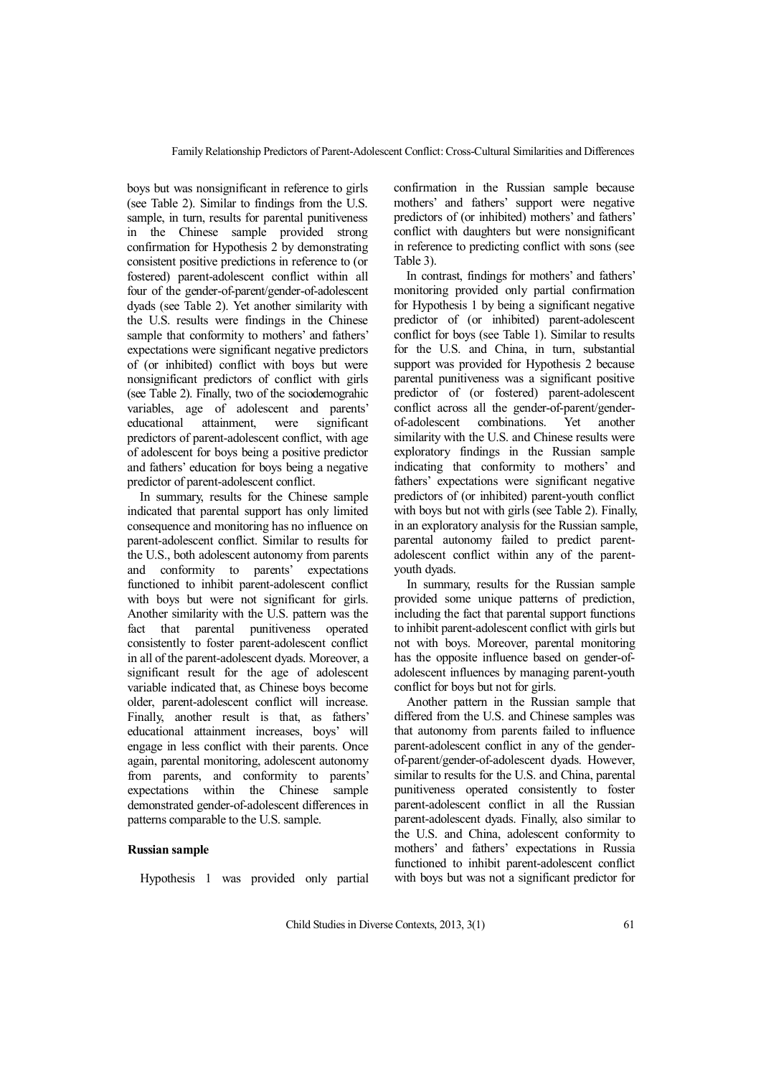boys but was nonsignificant in reference to girls (see Table 2). Similar to findings from the U.S. sample, in turn, results for parental punitiveness in the Chinese sample provided strong confirmation for Hypothesis 2 by demonstrating consistent positive predictions in reference to (or fostered) parent-adolescent conflict within all four of the gender-of-parent/gender-of-adolescent dyads (see Table 2). Yet another similarity with the U.S. results were findings in the Chinese sample that conformity to mothers' and fathers' expectations were significant negative predictors of (or inhibited) conflict with boys but were nonsignificant predictors of conflict with girls (see Table 2). Finally, two of the sociodemograhic variables, age of adolescent and parents' educational attainment, were significant predictors of parent-adolescent conflict, with age of adolescent for boys being a positive predictor and fathers' education for boys being a negative predictor of parent-adolescent conflict.

In summary, results for the Chinese sample indicated that parental support has only limited consequence and monitoring has no influence on parent-adolescent conflict. Similar to results for the U.S., both adolescent autonomy from parents and conformity to parents' expectations functioned to inhibit parent-adolescent conflict with boys but were not significant for girls. Another similarity with the U.S. pattern was the fact that parental punitiveness operated consistently to foster parent-adolescent conflict in all of the parent-adolescent dyads. Moreover, a significant result for the age of adolescent variable indicated that, as Chinese boys become older, parent-adolescent conflict will increase. Finally, another result is that, as fathers' educational attainment increases, boys' will engage in less conflict with their parents. Once again, parental monitoring, adolescent autonomy from parents, and conformity to parents' expectations within the Chinese sample demonstrated gender-of-adolescent differences in patterns comparable to the U.S. sample.

# **Russian sample**

Hypothesis 1 was provided only partial

confirmation in the Russian sample because mothers' and fathers' support were negative predictors of (or inhibited) mothers' and fathers' conflict with daughters but were nonsignificant in reference to predicting conflict with sons (see Table 3).

In contrast, findings for mothers' and fathers' monitoring provided only partial confirmation for Hypothesis 1 by being a significant negative predictor of (or inhibited) parent-adolescent conflict for boys (see Table 1). Similar to results for the U.S. and China, in turn, substantial support was provided for Hypothesis 2 because parental punitiveness was a significant positive predictor of (or fostered) parent-adolescent conflict across all the gender-of-parent/genderof-adolescent combinations. Yet another similarity with the U.S. and Chinese results were exploratory findings in the Russian sample indicating that conformity to mothers' and fathers' expectations were significant negative predictors of (or inhibited) parent-youth conflict with boys but not with girls (see Table 2). Finally, in an exploratory analysis for the Russian sample, parental autonomy failed to predict parentadolescent conflict within any of the parentyouth dyads.

In summary, results for the Russian sample provided some unique patterns of prediction, including the fact that parental support functions to inhibit parent-adolescent conflict with girls but not with boys. Moreover, parental monitoring has the opposite influence based on gender-ofadolescent influences by managing parent-youth conflict for boys but not for girls.

Another pattern in the Russian sample that differed from the U.S. and Chinese samples was that autonomy from parents failed to influence parent-adolescent conflict in any of the genderof-parent/gender-of-adolescent dyads. However, similar to results for the U.S. and China, parental punitiveness operated consistently to foster parent-adolescent conflict in all the Russian parent-adolescent dyads. Finally, also similar to the U.S. and China, adolescent conformity to mothers' and fathers' expectations in Russia functioned to inhibit parent-adolescent conflict with boys but was not a significant predictor for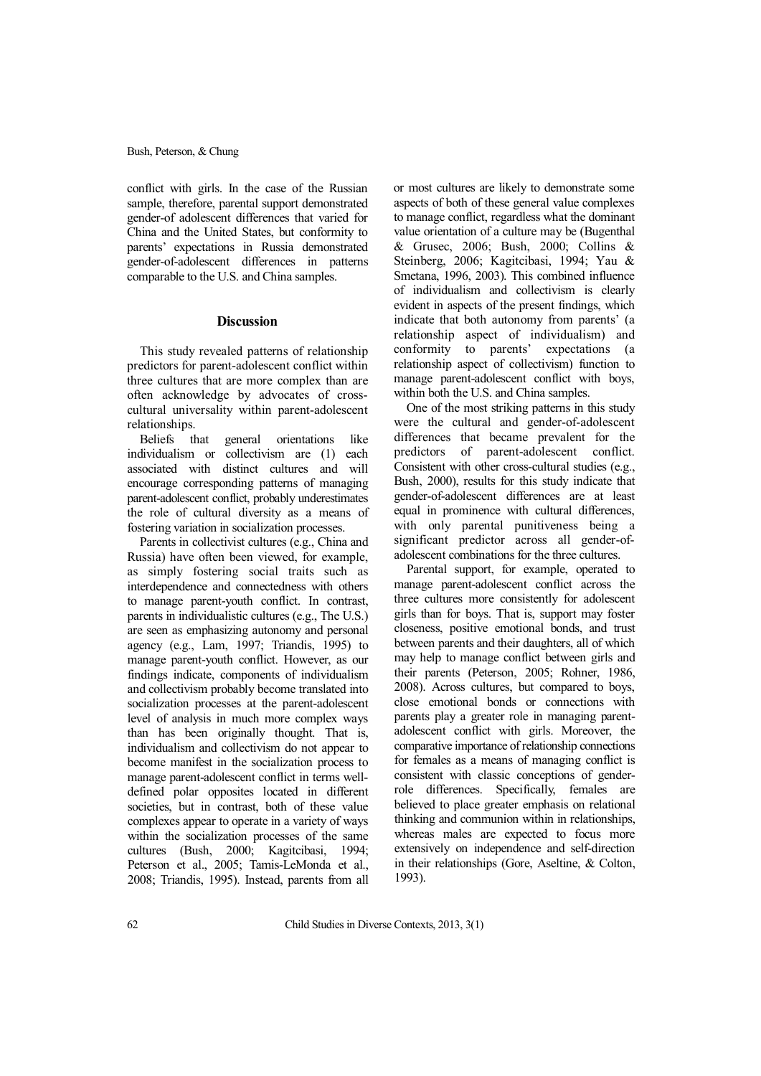conflict with girls. In the case of the Russian sample, therefore, parental support demonstrated gender-of adolescent differences that varied for China and the United States, but conformity to parents' expectations in Russia demonstrated gender-of-adolescent differences in patterns comparable to the U.S. and China samples.

# **Discussion**

This study revealed patterns of relationship predictors for parent-adolescent conflict within three cultures that are more complex than are often acknowledge by advocates of crosscultural universality within parent-adolescent relationships.

Beliefs that general orientations like individualism or collectivism are (1) each associated with distinct cultures and will encourage corresponding patterns of managing parent-adolescent conflict, probably underestimates the role of cultural diversity as a means of fostering variation in socialization processes.

Parents in collectivist cultures (e.g., China and Russia) have often been viewed, for example, as simply fostering social traits such as interdependence and connectedness with others to manage parent-youth conflict. In contrast, parents in individualistic cultures (e.g., The U.S.) are seen as emphasizing autonomy and personal agency (e.g., Lam, 1997; Triandis, 1995) to manage parent-youth conflict. However, as our findings indicate, components of individualism and collectivism probably become translated into socialization processes at the parent-adolescent level of analysis in much more complex ways than has been originally thought. That is, individualism and collectivism do not appear to become manifest in the socialization process to manage parent-adolescent conflict in terms welldefined polar opposites located in different societies, but in contrast, both of these value complexes appear to operate in a variety of ways within the socialization processes of the same cultures (Bush, 2000; Kagitcibasi, 1994; Peterson et al., 2005; Tamis-LeMonda et al., 2008; Triandis, 1995). Instead, parents from all or most cultures are likely to demonstrate some aspects of both of these general value complexes to manage conflict, regardless what the dominant value orientation of a culture may be (Bugenthal & Grusec, 2006; Bush, 2000; Collins & Steinberg, 2006; Kagitcibasi, 1994; Yau & Smetana, 1996, 2003). This combined influence of individualism and collectivism is clearly evident in aspects of the present findings, which indicate that both autonomy from parents' (a relationship aspect of individualism) and conformity to parents' expectations (a relationship aspect of collectivism) function to manage parent-adolescent conflict with boys, within both the U.S. and China samples.

One of the most striking patterns in this study were the cultural and gender-of-adolescent differences that became prevalent for the predictors of parent-adolescent conflict. Consistent with other cross-cultural studies (e.g., Bush, 2000), results for this study indicate that gender-of-adolescent differences are at least equal in prominence with cultural differences, with only parental punitiveness being a significant predictor across all gender-ofadolescent combinations for the three cultures.

Parental support, for example, operated to manage parent-adolescent conflict across the three cultures more consistently for adolescent girls than for boys. That is, support may foster closeness, positive emotional bonds, and trust between parents and their daughters, all of which may help to manage conflict between girls and their parents (Peterson, 2005; Rohner, 1986, 2008). Across cultures, but compared to boys, close emotional bonds or connections with parents play a greater role in managing parentadolescent conflict with girls. Moreover, the comparative importance of relationship connections for females as a means of managing conflict is consistent with classic conceptions of genderrole differences. Specifically, females are believed to place greater emphasis on relational thinking and communion within in relationships, whereas males are expected to focus more extensively on independence and self-direction in their relationships (Gore, Aseltine, & Colton, 1993).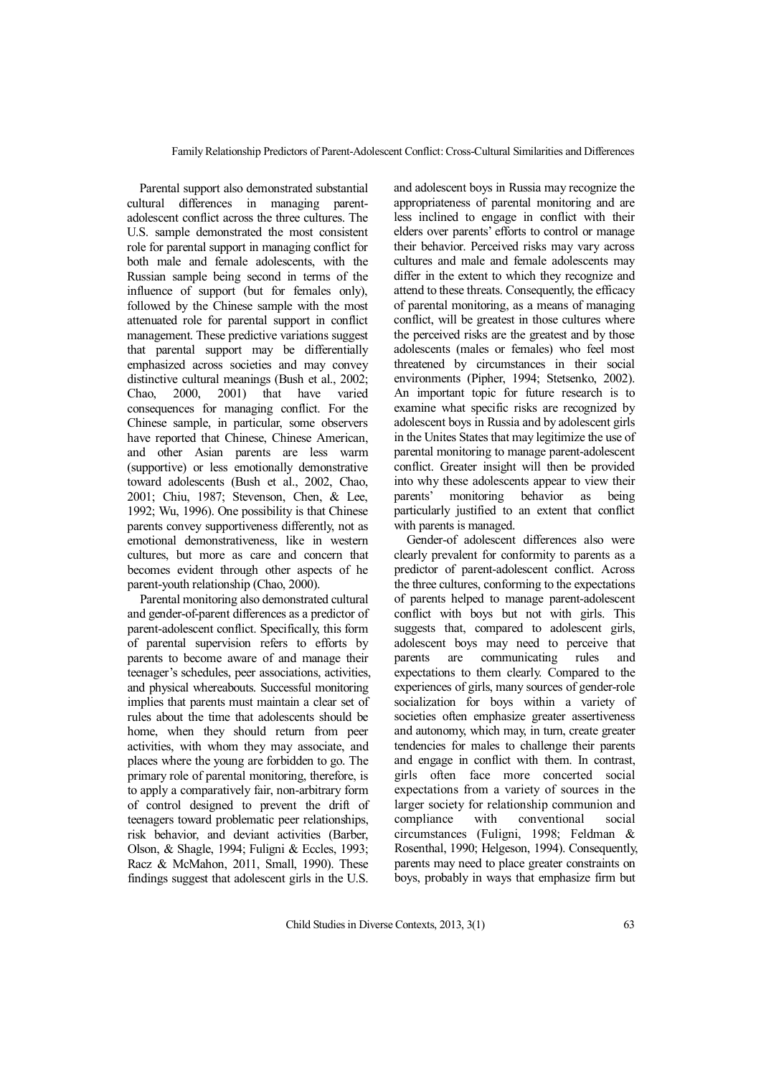Parental support also demonstrated substantial cultural differences in managing parentadolescent conflict across the three cultures. The U.S. sample demonstrated the most consistent role for parental support in managing conflict for both male and female adolescents, with the Russian sample being second in terms of the influence of support (but for females only), followed by the Chinese sample with the most attenuated role for parental support in conflict management. These predictive variations suggest that parental support may be differentially emphasized across societies and may convey distinctive cultural meanings (Bush et al., 2002; Chao, 2000, 2001) that have varied consequences for managing conflict. For the Chinese sample, in particular, some observers have reported that Chinese, Chinese American, and other Asian parents are less warm (supportive) or less emotionally demonstrative toward adolescents (Bush et al., 2002, Chao, 2001; Chiu, 1987; Stevenson, Chen, & Lee, 1992; Wu, 1996). One possibility is that Chinese parents convey supportiveness differently, not as emotional demonstrativeness, like in western cultures, but more as care and concern that becomes evident through other aspects of he parent-youth relationship (Chao, 2000).

Parental monitoring also demonstrated cultural and gender-of-parent differences as a predictor of parent-adolescent conflict. Specifically, this form of parental supervision refers to efforts by parents to become aware of and manage their teenager's schedules, peer associations, activities, and physical whereabouts. Successful monitoring implies that parents must maintain a clear set of rules about the time that adolescents should be home, when they should return from peer activities, with whom they may associate, and places where the young are forbidden to go. The primary role of parental monitoring, therefore, is to apply a comparatively fair, non-arbitrary form of control designed to prevent the drift of teenagers toward problematic peer relationships, risk behavior, and deviant activities (Barber, Olson, & Shagle, 1994; Fuligni & Eccles, 1993; Racz & McMahon, 2011, Small, 1990). These findings suggest that adolescent girls in the U.S.

and adolescent boys in Russia may recognize the appropriateness of parental monitoring and are less inclined to engage in conflict with their elders over parents' efforts to control or manage their behavior. Perceived risks may vary across cultures and male and female adolescents may differ in the extent to which they recognize and attend to these threats. Consequently, the efficacy of parental monitoring, as a means of managing conflict, will be greatest in those cultures where the perceived risks are the greatest and by those adolescents (males or females) who feel most threatened by circumstances in their social environments (Pipher, 1994; Stetsenko, 2002). An important topic for future research is to examine what specific risks are recognized by adolescent boys in Russia and by adolescent girls in the Unites States that may legitimize the use of parental monitoring to manage parent-adolescent conflict. Greater insight will then be provided into why these adolescents appear to view their parents' monitoring behavior as being particularly justified to an extent that conflict with parents is managed.

Gender-of adolescent differences also were clearly prevalent for conformity to parents as a predictor of parent-adolescent conflict. Across the three cultures, conforming to the expectations of parents helped to manage parent-adolescent conflict with boys but not with girls. This suggests that, compared to adolescent girls, adolescent boys may need to perceive that parents are communicating rules and expectations to them clearly. Compared to the experiences of girls, many sources of gender-role socialization for boys within a variety of societies often emphasize greater assertiveness and autonomy, which may, in turn, create greater tendencies for males to challenge their parents and engage in conflict with them. In contrast, girls often face more concerted social expectations from a variety of sources in the larger society for relationship communion and compliance with conventional social circumstances (Fuligni, 1998; Feldman & Rosenthal, 1990; Helgeson, 1994). Consequently, parents may need to place greater constraints on boys, probably in ways that emphasize firm but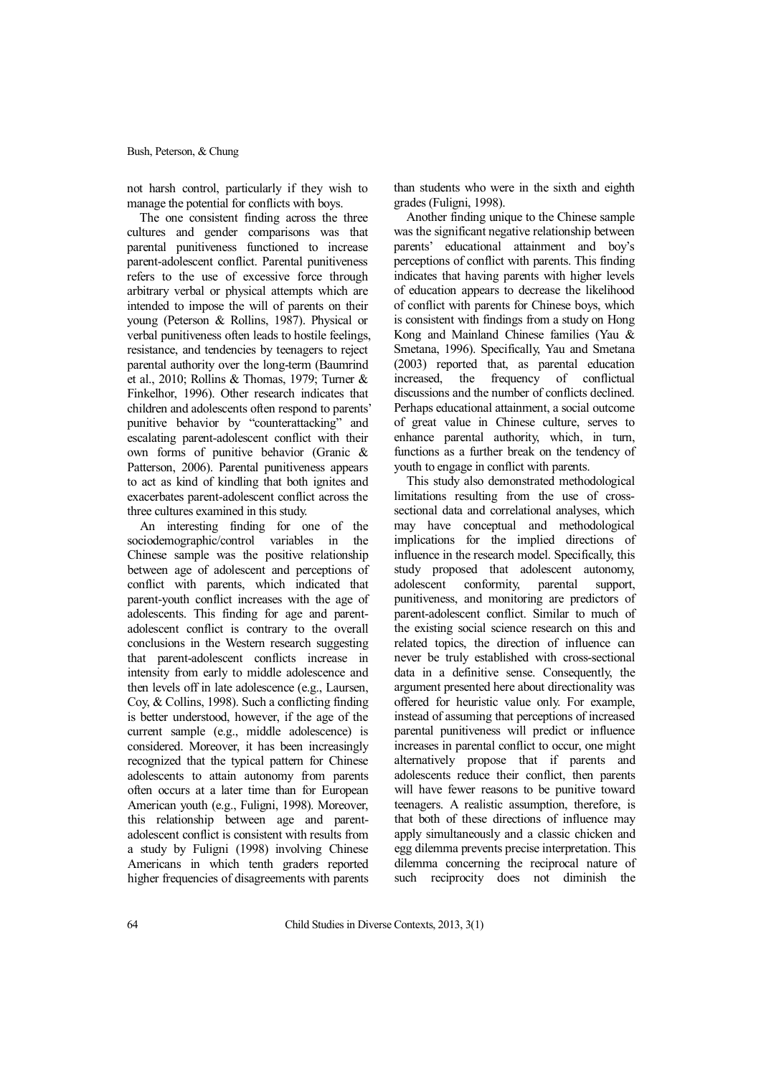not harsh control, particularly if they wish to manage the potential for conflicts with boys.

The one consistent finding across the three cultures and gender comparisons was that parental punitiveness functioned to increase parent-adolescent conflict. Parental punitiveness refers to the use of excessive force through arbitrary verbal or physical attempts which are intended to impose the will of parents on their young (Peterson & Rollins, 1987). Physical or verbal punitiveness often leads to hostile feelings, resistance, and tendencies by teenagers to reject parental authority over the long-term (Baumrind et al., 2010; Rollins & Thomas, 1979; Turner & Finkelhor, 1996). Other research indicates that children and adolescents often respond to parents' punitive behavior by "counterattacking" and escalating parent-adolescent conflict with their own forms of punitive behavior (Granic & Patterson, 2006). Parental punitiveness appears to act as kind of kindling that both ignites and exacerbates parent-adolescent conflict across the three cultures examined in this study.

An interesting finding for one of the sociodemographic/control variables in the Chinese sample was the positive relationship between age of adolescent and perceptions of conflict with parents, which indicated that parent-youth conflict increases with the age of adolescents. This finding for age and parentadolescent conflict is contrary to the overall conclusions in the Western research suggesting that parent-adolescent conflicts increase in intensity from early to middle adolescence and then levels off in late adolescence (e.g., Laursen, Coy, & Collins, 1998). Such a conflicting finding is better understood, however, if the age of the current sample (e.g., middle adolescence) is considered. Moreover, it has been increasingly recognized that the typical pattern for Chinese adolescents to attain autonomy from parents often occurs at a later time than for European American youth (e.g., Fuligni, 1998). Moreover, this relationship between age and parentadolescent conflict is consistent with results from a study by Fuligni (1998) involving Chinese Americans in which tenth graders reported higher frequencies of disagreements with parents than students who were in the sixth and eighth grades (Fuligni, 1998).

Another finding unique to the Chinese sample was the significant negative relationship between parents' educational attainment and boy's perceptions of conflict with parents. This finding indicates that having parents with higher levels of education appears to decrease the likelihood of conflict with parents for Chinese boys, which is consistent with findings from a study on Hong Kong and Mainland Chinese families (Yau & Smetana, 1996). Specifically, Yau and Smetana (2003) reported that, as parental education increased, the frequency of conflictual discussions and the number of conflicts declined. Perhaps educational attainment, a social outcome of great value in Chinese culture, serves to enhance parental authority, which, in turn, functions as a further break on the tendency of youth to engage in conflict with parents.

This study also demonstrated methodological limitations resulting from the use of crosssectional data and correlational analyses, which may have conceptual and methodological implications for the implied directions of influence in the research model. Specifically, this study proposed that adolescent autonomy, adolescent conformity, parental support, punitiveness, and monitoring are predictors of parent-adolescent conflict. Similar to much of the existing social science research on this and related topics, the direction of influence can never be truly established with cross-sectional data in a definitive sense. Consequently, the argument presented here about directionality was offered for heuristic value only. For example, instead of assuming that perceptions of increased parental punitiveness will predict or influence increases in parental conflict to occur, one might alternatively propose that if parents and adolescents reduce their conflict, then parents will have fewer reasons to be punitive toward teenagers. A realistic assumption, therefore, is that both of these directions of influence may apply simultaneously and a classic chicken and egg dilemma prevents precise interpretation. This dilemma concerning the reciprocal nature of such reciprocity does not diminish the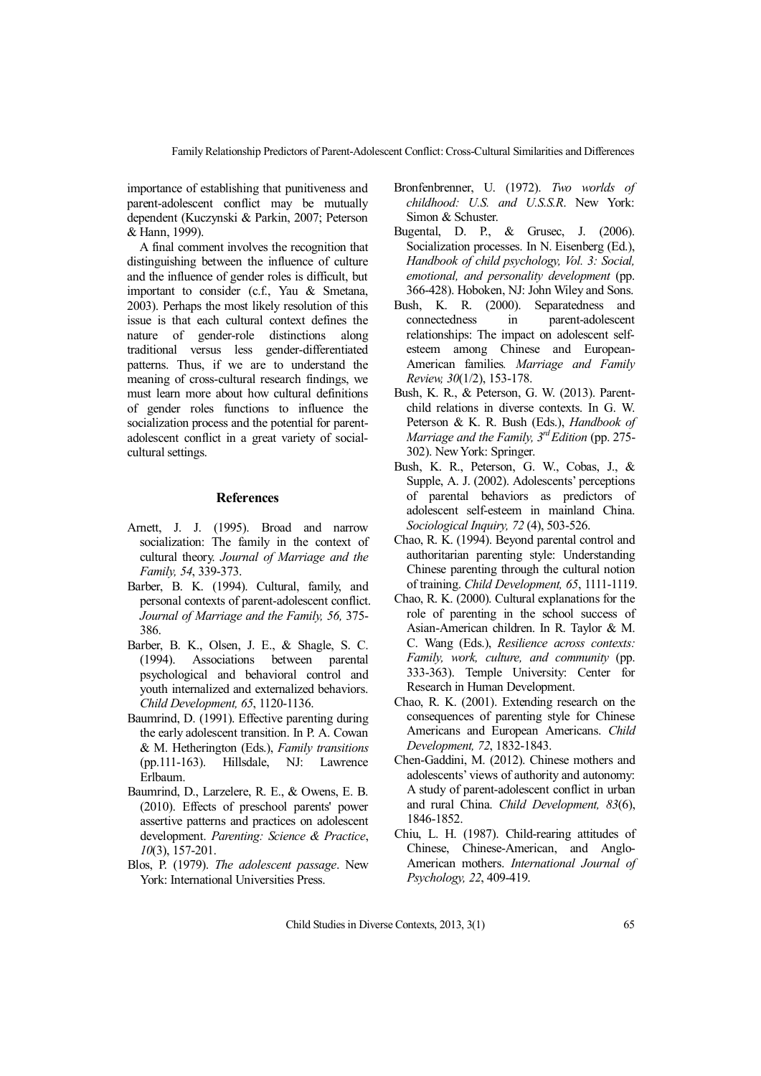FamilyRelationship Predictors of Parent-Adolescent Conflict: Cross-Cultural Similarities and Differences

importance of establishing that punitiveness and parent-adolescent conflict may be mutually dependent (Kuczynski & Parkin, 2007; Peterson & Hann, 1999).

A final comment involves the recognition that distinguishing between the influence of culture and the influence of gender roles is difficult, but important to consider (c.f., Yau & Smetana, 2003). Perhaps the most likely resolution of this issue is that each cultural context defines the nature of gender-role distinctions along traditional versus less gender-differentiated patterns. Thus, if we are to understand the meaning of cross-cultural research findings, we must learn more about how cultural definitions of gender roles functions to influence the socialization process and the potential for parentadolescent conflict in a great variety of socialcultural settings.

#### **References**

- Arnett, J. J. (1995). Broad and narrow socialization: The family in the context of cultural theory. *Journal of Marriage and the Family, 54*, 339-373.
- Barber, B. K. (1994). Cultural, family, and personal contexts of parent-adolescent conflict. *Journal of Marriage and the Family, 56,* 375- 386.
- Barber, B. K., Olsen, J. E., & Shagle, S. C. (1994). Associations between parental psychological and behavioral control and youth internalized and externalized behaviors. *Child Development, 65*, 1120-1136.
- Baumrind, D. (1991). Effective parenting during the early adolescent transition. In P. A. Cowan & M. Hetherington (Eds.), *Family transitions* (pp.111-163). Hillsdale, NJ: Lawrence Erlbaum.
- Baumrind, D., Larzelere, R. E., & Owens, E. B. (2010). Effects of preschool parents' power assertive patterns and practices on adolescent development. *Parenting: Science & Practice*, *10*(3), 157-201.
- Blos, P. (1979). *The adolescent passage*. New York: International Universities Press.
- Bronfenbrenner, U. (1972). *Two worlds of childhood: U.S. and U.S.S.R*. New York: Simon & Schuster.
- Bugental, D. P., & Grusec, J. (2006). Socialization processes. In N. Eisenberg (Ed.), *Handbook of child psychology, Vol. 3: Social, emotional, and personality development* (pp. 366-428). Hoboken, NJ: John Wiley and Sons.
- Bush, K. R. (2000). Separatedness and connectedness in parent-adolescent relationships: The impact on adolescent selfesteem among Chinese and European-American families*. Marriage and Family Review, 30*(1/2), 153-178.
- Bush, K. R., & Peterson, G. W. (2013). Parentchild relations in diverse contexts. In G. W. Peterson & K. R. Bush (Eds.), *Handbook of Marriage and the Family, 3 rdEdition* (pp. 275- 302). NewYork: Springer.
- Bush, K. R., Peterson, G. W., Cobas, J., & Supple, A. J. (2002). Adolescents' perceptions of parental behaviors as predictors of adolescent self-esteem in mainland China. *Sociological Inquiry, 72* (4), 503-526.
- Chao, R. K. (1994). Beyond parental control and authoritarian parenting style: Understanding Chinese parenting through the cultural notion of training. *Child Development, 65*, 1111-1119.
- Chao, R. K. (2000). Cultural explanations for the role of parenting in the school success of Asian-American children. In R. Taylor & M. C. Wang (Eds.), *Resilience across contexts: Family, work, culture, and community* (pp. 333-363). Temple University: Center for Research in Human Development.
- Chao, R. K. (2001). Extending research on the consequences of parenting style for Chinese Americans and European Americans. *Child Development, 72*, 1832-1843.
- Chen-Gaddini, M. (2012). Chinese mothers and adolescents' views of authority and autonomy: A study of parent-adolescent conflict in urban and rural China. *Child Development, 83*(6), 1846-1852.
- Chiu, L. H. (1987). Child-rearing attitudes of Chinese, Chinese-American, and Anglo-American mothers. *International Journal of Psychology, 22*, 409-419.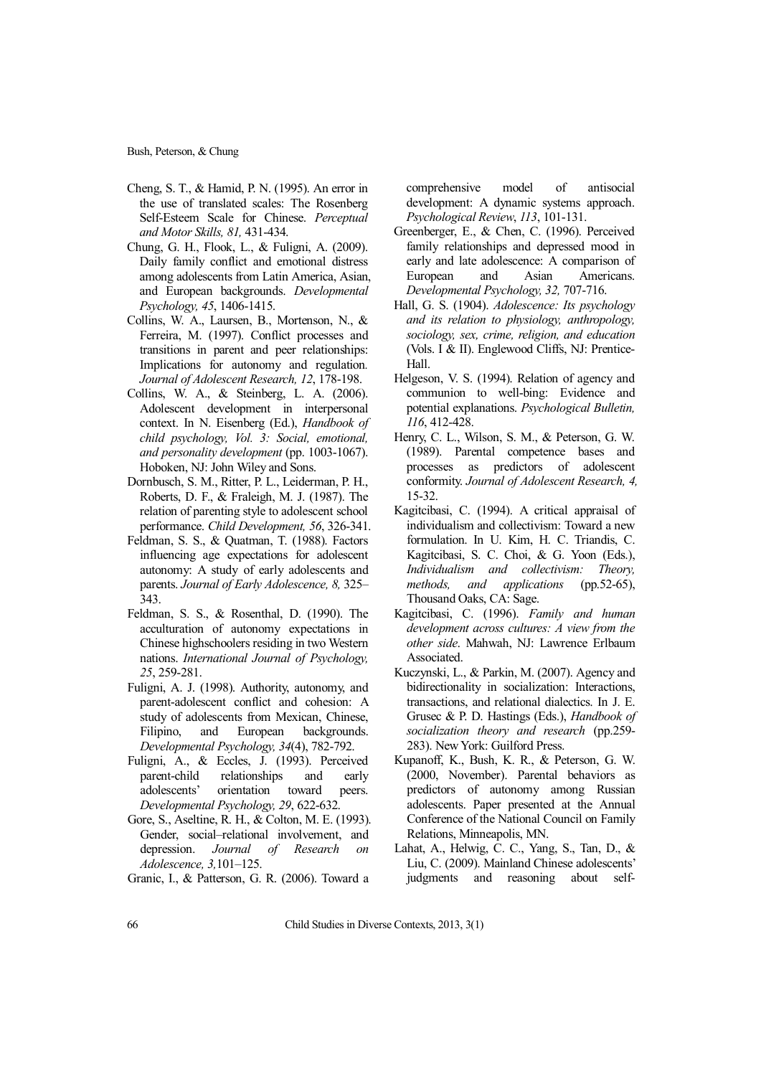- Cheng, S. T., & Hamid, P. N. (1995). An error in the use of translated scales: The Rosenberg Self-Esteem Scale for Chinese. *Perceptual and Motor Skills, 81,* 431-434.
- Chung, G. H., Flook, L., & Fuligni, A. (2009). Daily family conflict and emotional distress among adolescents from Latin America, Asian, and European backgrounds. *Developmental Psychology, 45*, 1406-1415.
- Collins, W. A., Laursen, B., Mortenson, N., & Ferreira, M. (1997). Conflict processes and transitions in parent and peer relationships: Implications for autonomy and regulation*. Journal of Adolescent Research, 12*, 178-198.
- Collins, W. A., & Steinberg, L. A. (2006). Adolescent development in interpersonal context. In N. Eisenberg (Ed.), *Handbook of child psychology, Vol. 3: Social, emotional, and personality development* (pp. 1003-1067). Hoboken, NJ: John Wiley and Sons.
- Dornbusch, S. M., Ritter, P. L., Leiderman, P. H., Roberts, D. F., & Fraleigh, M. J. (1987). The relation of parenting style to adolescent school performance. *Child Development, 56*, 326-341.
- Feldman, S. S., & Quatman, T. (1988). Factors influencing age expectations for adolescent autonomy: A study of early adolescents and parents. *Journal of Early Adolescence, 8,* 325– 343.
- Feldman, S. S., & Rosenthal, D. (1990). The acculturation of autonomy expectations in Chinese highschoolers residing in two Western nations. *International Journal of Psychology, 25*, 259-281.
- Fuligni, A. J. (1998). Authority, autonomy, and parent-adolescent conflict and cohesion: A study of adolescents from Mexican, Chinese, Filipino, and European backgrounds. *Developmental Psychology, 34*(4), 782-792.
- Fuligni, A., & Eccles, J. (1993). Perceived parent-child relationships and early adolescents' orientation toward peers. *Developmental Psychology, 29*, 622-632.
- Gore, S., Aseltine, R. H., & Colton, M. E. (1993). Gender, social–relational involvement, and depression. *Journal of Research on Adolescence, 3,*101–125.

Granic, I., & Patterson, G. R. (2006). Toward a

comprehensive model of antisocial development: A dynamic systems approach. *Psychological Review*, *113*, 101-131.

- Greenberger, E., & Chen, C. (1996). Perceived family relationships and depressed mood in early and late adolescence: A comparison of European and Asian Americans. *Developmental Psychology, 32,* 707-716.
- Hall, G. S. (1904). *Adolescence: Its psychology and its relation to physiology, anthropology, sociology, sex, crime, religion, and education* (Vols. I & II). Englewood Cliffs, NJ: Prentice-Hall.
- Helgeson, V. S. (1994). Relation of agency and communion to well-bing: Evidence and potential explanations. *Psychological Bulletin, 116*, 412-428.
- Henry, C. L., Wilson, S. M., & Peterson, G. W. (1989). Parental competence bases and processes as predictors of adolescent conformity. *Journal of Adolescent Research, 4,* 15-32.
- Kagitcibasi, C. (1994). A critical appraisal of individualism and collectivism: Toward a new formulation. In U. Kim, H. C. Triandis, C. Kagitcibasi, S. C. Choi, & G. Yoon (Eds.), *Individualism and collectivism: Theory, methods, and applications* (pp.52-65), Thousand Oaks, CA: Sage.
- Kagitcibasi, C. (1996). *Family and human development across cultures: A view from the other side*. Mahwah, NJ: Lawrence Erlbaum Associated.
- Kuczynski, L., & Parkin, M. (2007). Agency and bidirectionality in socialization: Interactions, transactions, and relational dialectics. In J. E. Grusec & P. D. Hastings (Eds.), *Handbook of socialization theory and research* (pp.259- 283). NewYork: Guilford Press.
- Kupanoff, K., Bush, K. R., & Peterson, G. W. (2000, November). Parental behaviors as predictors of autonomy among Russian adolescents. Paper presented at the Annual Conference of the National Council on Family Relations, Minneapolis, MN.
- Lahat, A., Helwig, C. C., Yang, S., Tan, D., & Liu, C. (2009). Mainland Chinese adolescents' judgments and reasoning about self-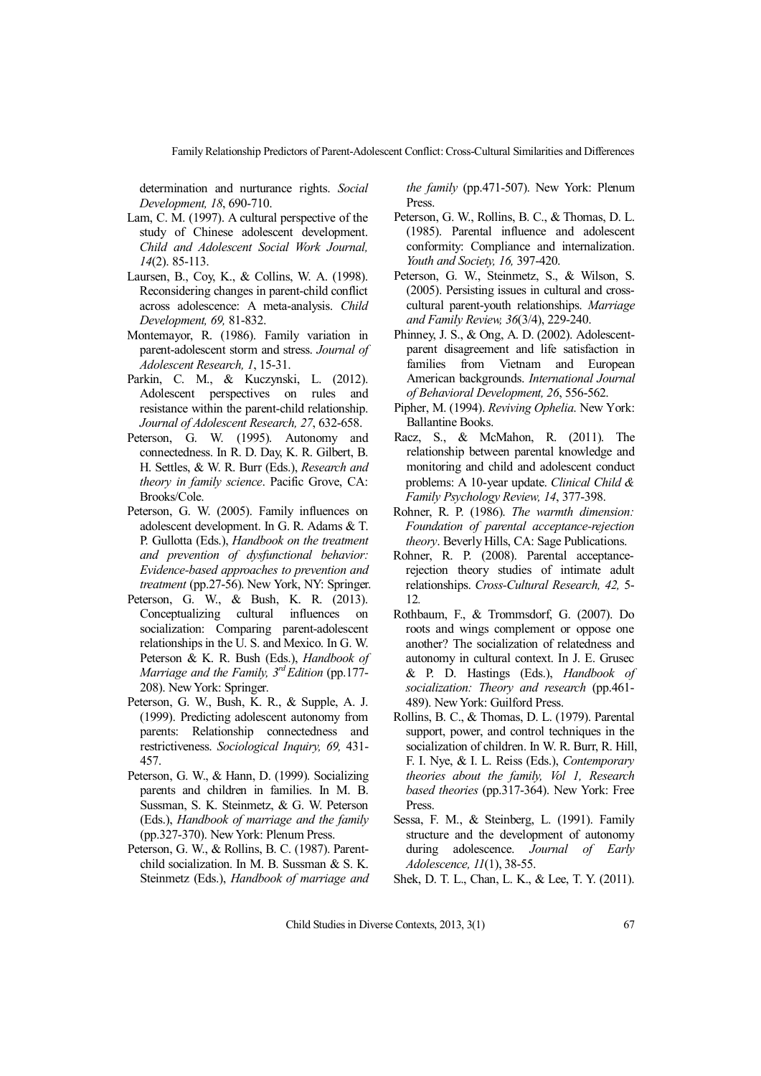Family Relationship Predictors of Parent-Adolescent Conflict: Cross-Cultural Similarities and Differences

determination and nurturance rights. *Social Development, 18*, 690-710.

- Lam, C. M. (1997). A cultural perspective of the study of Chinese adolescent development. *Child and Adolescent Social Work Journal, 14*(2). 85-113.
- Laursen, B., Coy, K., & Collins, W. A. (1998). Reconsidering changes in parent-child conflict across adolescence: A meta-analysis. *Child Development, 69,* 81-832.
- Montemayor, R. (1986). Family variation in parent-adolescent storm and stress. *Journal of Adolescent Research, 1*, 15-31.
- Parkin, C. M., & Kuczynski, L. (2012). Adolescent perspectives on rules and resistance within the parent-child relationship. *Journal of Adolescent Research, 27*, 632-658.
- Peterson, G. W. (1995). Autonomy and connectedness. In R. D. Day, K. R. Gilbert, B. H. Settles, & W. R. Burr (Eds.), *Research and theory in family science*. Pacific Grove, CA: Brooks/Cole.
- Peterson, G. W. (2005). Family influences on adolescent development. In G. R. Adams & T. P. Gullotta (Eds.), *Handbook on the treatment and prevention of dysfunctional behavior: Evidence-based approaches to prevention and treatment* (pp.27-56). New York, NY: Springer.
- Peterson, G. W., & Bush, K. R. (2013). Conceptualizing cultural influences on socialization: Comparing parent-adolescent relationships in the U. S. and Mexico. In G. W. Peterson & K. R. Bush (Eds.), *Handbook of Marriage and the Family, 3 rdEdition* (pp.177- 208). NewYork: Springer.
- Peterson, G. W., Bush, K. R., & Supple, A. J. (1999). Predicting adolescent autonomy from parents: Relationship connectedness and restrictiveness. *Sociological Inquiry, 69,* 431- 457.
- Peterson, G. W., & Hann, D. (1999). Socializing parents and children in families. In M. B. Sussman, S. K. Steinmetz, & G. W. Peterson (Eds.), *Handbook of marriage and the family* (pp.327-370). NewYork: Plenum Press.
- Peterson, G. W., & Rollins, B. C. (1987). Parentchild socialization. In M. B. Sussman & S. K. Steinmetz (Eds.), *Handbook of marriage and*

*the family* (pp.471-507). New York: Plenum Press.

- Peterson, G. W., Rollins, B. C., & Thomas, D. L. (1985). Parental influence and adolescent conformity: Compliance and internalization. *Youth and Society, 16,* 397-420.
- Peterson, G. W., Steinmetz, S., & Wilson, S. (2005). Persisting issues in cultural and crosscultural parent-youth relationships. *Marriage and Family Review, 36*(3/4), 229-240.
- Phinney, J. S., & Ong, A. D. (2002). Adolescentparent disagreement and life satisfaction in families from Vietnam and European American backgrounds. *International Journal of Behavioral Development, 26*, 556-562.
- Pipher, M. (1994). *Reviving Ophelia*. New York: Ballantine Books.
- Racz, S., & McMahon, R. (2011). The relationship between parental knowledge and monitoring and child and adolescent conduct problems: A 10-year update. *Clinical Child & Family Psychology Review, 14*, 377-398.
- Rohner, R. P. (1986). *The warmth dimension: Foundation of parental acceptance-rejection theory*. Beverly Hills, CA: Sage Publications.
- Rohner, R. P. (2008). Parental acceptancerejection theory studies of intimate adult relationships. *Cross-Cultural Research, 42,* 5- 12*.*
- Rothbaum, F., & Trommsdorf, G. (2007). Do roots and wings complement or oppose one another? The socialization of relatedness and autonomy in cultural context. In J. E. Grusec & P. D. Hastings (Eds.), *Handbook of socialization: Theory and research* (pp.461- 489). NewYork: Guilford Press.
- Rollins, B. C., & Thomas, D. L. (1979). Parental support, power, and control techniques in the socialization of children. In W. R. Burr, R. Hill, F. I. Nye, & I. L. Reiss (Eds.), *Contemporary theories about the family, Vol 1, Research based theories* (pp.317-364). New York: Free Press.
- Sessa, F. M., & Steinberg, L. (1991). Family structure and the development of autonomy during adolescence. *Journal of Early Adolescence, 11*(1), 38-55.

Shek, D. T. L., Chan, L. K., & Lee, T. Y. (2011).